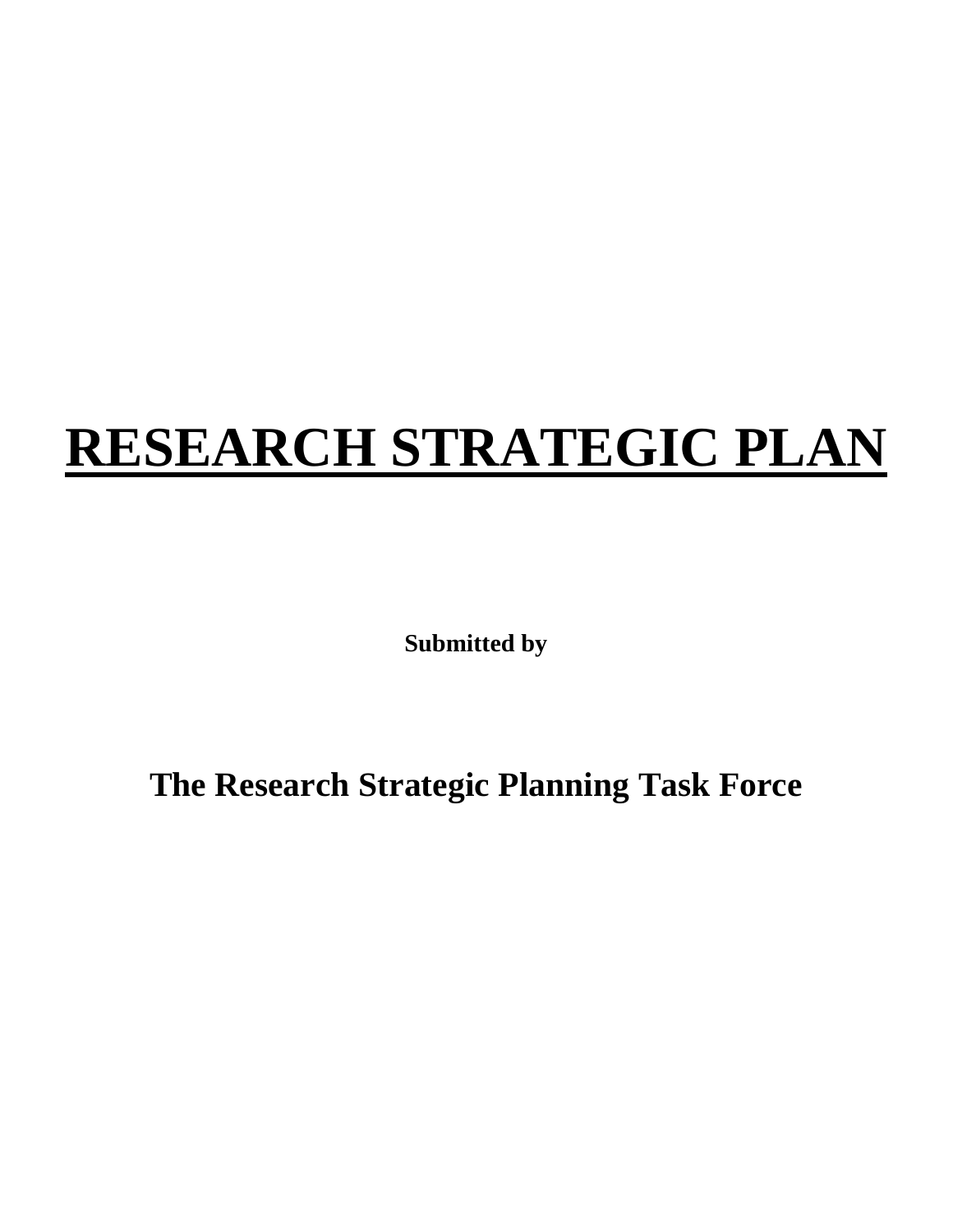# **RESEARCH STRATEGIC PLAN**

**Submitted by**

**The Research Strategic Planning Task Force**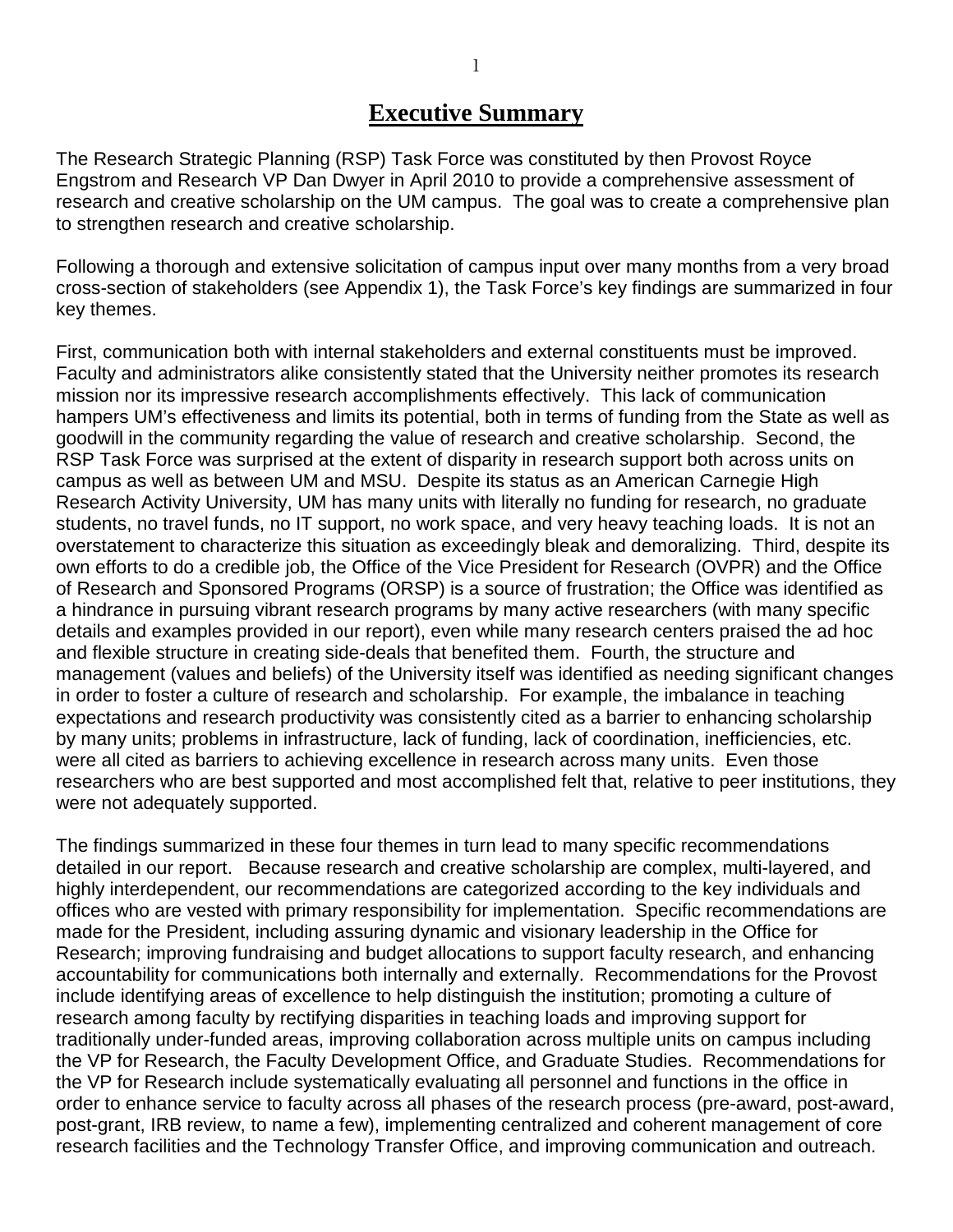## **Executive Summary**

The Research Strategic Planning (RSP) Task Force was constituted by then Provost Royce Engstrom and Research VP Dan Dwyer in April 2010 to provide a comprehensive assessment of research and creative scholarship on the UM campus. The goal was to create a comprehensive plan to strengthen research and creative scholarship.

Following a thorough and extensive solicitation of campus input over many months from a very broad cross-section of stakeholders (see Appendix 1), the Task Force's key findings are summarized in four key themes.

First, communication both with internal stakeholders and external constituents must be improved. Faculty and administrators alike consistently stated that the University neither promotes its research mission nor its impressive research accomplishments effectively. This lack of communication hampers UM's effectiveness and limits its potential, both in terms of funding from the State as well as goodwill in the community regarding the value of research and creative scholarship. Second, the RSP Task Force was surprised at the extent of disparity in research support both across units on campus as well as between UM and MSU. Despite its status as an American Carnegie High Research Activity University, UM has many units with literally no funding for research, no graduate students, no travel funds, no IT support, no work space, and very heavy teaching loads. It is not an overstatement to characterize this situation as exceedingly bleak and demoralizing. Third, despite its own efforts to do a credible job, the Office of the Vice President for Research (OVPR) and the Office of Research and Sponsored Programs (ORSP) is a source of frustration; the Office was identified as a hindrance in pursuing vibrant research programs by many active researchers (with many specific details and examples provided in our report), even while many research centers praised the ad hoc and flexible structure in creating side-deals that benefited them. Fourth, the structure and management (values and beliefs) of the University itself was identified as needing significant changes in order to foster a culture of research and scholarship. For example, the imbalance in teaching expectations and research productivity was consistently cited as a barrier to enhancing scholarship by many units; problems in infrastructure, lack of funding, lack of coordination, inefficiencies, etc. were all cited as barriers to achieving excellence in research across many units. Even those researchers who are best supported and most accomplished felt that, relative to peer institutions, they were not adequately supported.

The findings summarized in these four themes in turn lead to many specific recommendations detailed in our report. Because research and creative scholarship are complex, multi-layered, and highly interdependent, our recommendations are categorized according to the key individuals and offices who are vested with primary responsibility for implementation. Specific recommendations are made for the President, including assuring dynamic and visionary leadership in the Office for Research; improving fundraising and budget allocations to support faculty research, and enhancing accountability for communications both internally and externally. Recommendations for the Provost include identifying areas of excellence to help distinguish the institution; promoting a culture of research among faculty by rectifying disparities in teaching loads and improving support for traditionally under-funded areas, improving collaboration across multiple units on campus including the VP for Research, the Faculty Development Office, and Graduate Studies. Recommendations for the VP for Research include systematically evaluating all personnel and functions in the office in order to enhance service to faculty across all phases of the research process (pre-award, post-award, post-grant, IRB review, to name a few), implementing centralized and coherent management of core research facilities and the Technology Transfer Office, and improving communication and outreach.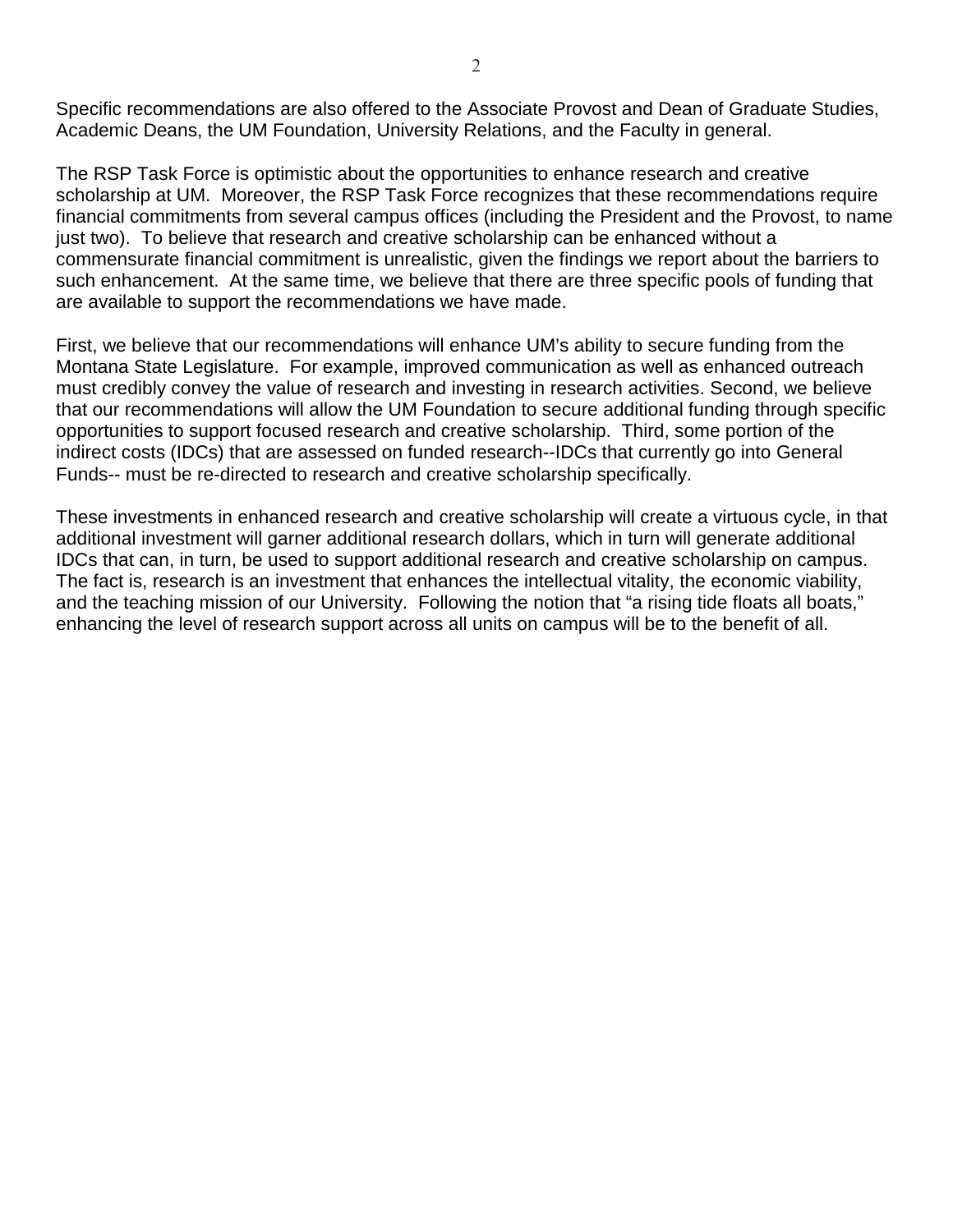Specific recommendations are also offered to the Associate Provost and Dean of Graduate Studies, Academic Deans, the UM Foundation, University Relations, and the Faculty in general.

The RSP Task Force is optimistic about the opportunities to enhance research and creative scholarship at UM. Moreover, the RSP Task Force recognizes that these recommendations require financial commitments from several campus offices (including the President and the Provost, to name just two). To believe that research and creative scholarship can be enhanced without a commensurate financial commitment is unrealistic, given the findings we report about the barriers to such enhancement. At the same time, we believe that there are three specific pools of funding that are available to support the recommendations we have made.

First, we believe that our recommendations will enhance UM's ability to secure funding from the Montana State Legislature. For example, improved communication as well as enhanced outreach must credibly convey the value of research and investing in research activities. Second, we believe that our recommendations will allow the UM Foundation to secure additional funding through specific opportunities to support focused research and creative scholarship. Third, some portion of the indirect costs (IDCs) that are assessed on funded research--IDCs that currently go into General Funds-- must be re-directed to research and creative scholarship specifically.

These investments in enhanced research and creative scholarship will create a virtuous cycle, in that additional investment will garner additional research dollars, which in turn will generate additional IDCs that can, in turn, be used to support additional research and creative scholarship on campus. The fact is, research is an investment that enhances the intellectual vitality, the economic viability, and the teaching mission of our University. Following the notion that "a rising tide floats all boats," enhancing the level of research support across all units on campus will be to the benefit of all.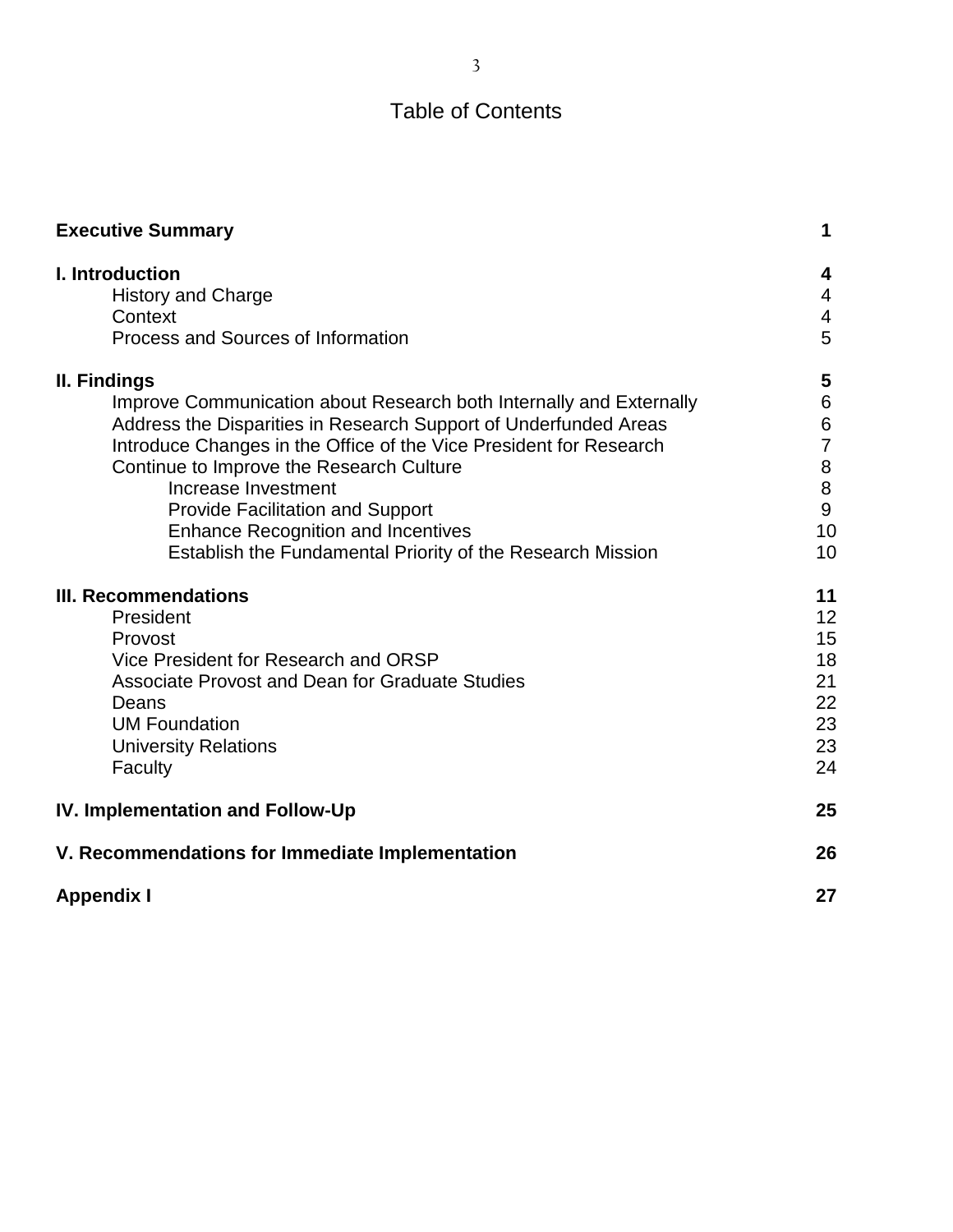## Table of Contents

| <b>Executive Summary</b>                                                                                                                                                                                                                                                                                                                                                                                                                               | 1                                                            |
|--------------------------------------------------------------------------------------------------------------------------------------------------------------------------------------------------------------------------------------------------------------------------------------------------------------------------------------------------------------------------------------------------------------------------------------------------------|--------------------------------------------------------------|
| I. Introduction<br><b>History and Charge</b><br>Context<br>Process and Sources of Information                                                                                                                                                                                                                                                                                                                                                          | 4<br>4<br>4<br>5                                             |
| II. Findings<br>Improve Communication about Research both Internally and Externally<br>Address the Disparities in Research Support of Underfunded Areas<br>Introduce Changes in the Office of the Vice President for Research<br>Continue to Improve the Research Culture<br>Increase Investment<br><b>Provide Facilitation and Support</b><br><b>Enhance Recognition and Incentives</b><br>Establish the Fundamental Priority of the Research Mission | 5<br>6<br>$\,6$<br>$\overline{7}$<br>8<br>8<br>9<br>10<br>10 |
| <b>III. Recommendations</b><br>President<br>Provost<br>Vice President for Research and ORSP<br><b>Associate Provost and Dean for Graduate Studies</b><br>Deans<br><b>UM Foundation</b><br><b>University Relations</b><br>Faculty                                                                                                                                                                                                                       | 11<br>12<br>15<br>18<br>21<br>22<br>23<br>23<br>24           |
| IV. Implementation and Follow-Up                                                                                                                                                                                                                                                                                                                                                                                                                       | 25                                                           |
| V. Recommendations for Immediate Implementation                                                                                                                                                                                                                                                                                                                                                                                                        | 26                                                           |
| <b>Appendix I</b>                                                                                                                                                                                                                                                                                                                                                                                                                                      | 27                                                           |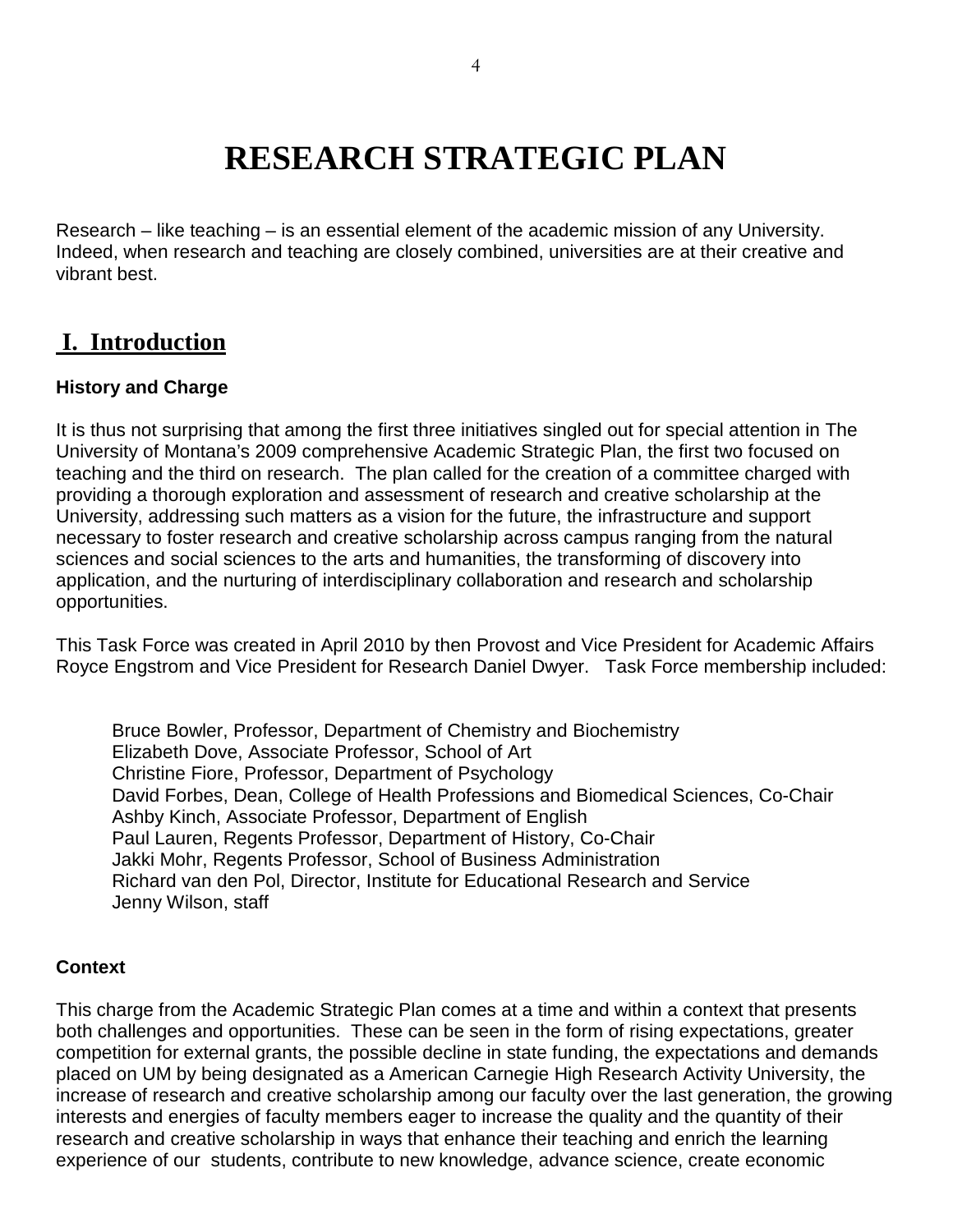## **RESEARCH STRATEGIC PLAN**

Research – like teaching – is an essential element of the academic mission of any University. Indeed, when research and teaching are closely combined, universities are at their creative and vibrant best.

## **I. Introduction**

#### **History and Charge**

It is thus not surprising that among the first three initiatives singled out for special attention in The University of Montana's 2009 comprehensive Academic Strategic Plan, the first two focused on teaching and the third on research. The plan called for the creation of a committee charged with providing a thorough exploration and assessment of research and creative scholarship at the University, addressing such matters as a vision for the future, the infrastructure and support necessary to foster research and creative scholarship across campus ranging from the natural sciences and social sciences to the arts and humanities, the transforming of discovery into application, and the nurturing of interdisciplinary collaboration and research and scholarship opportunities.

This Task Force was created in April 2010 by then Provost and Vice President for Academic Affairs Royce Engstrom and Vice President for Research Daniel Dwyer. Task Force membership included:

Bruce Bowler, Professor, Department of Chemistry and Biochemistry Elizabeth Dove, Associate Professor, School of Art Christine Fiore, Professor, Department of Psychology David Forbes, Dean, College of Health Professions and Biomedical Sciences, Co-Chair Ashby Kinch, Associate Professor, Department of English Paul Lauren, Regents Professor, Department of History, Co-Chair Jakki Mohr, Regents Professor, School of Business Administration Richard van den Pol, Director, Institute for Educational Research and Service Jenny Wilson, staff

#### **Context**

This charge from the Academic Strategic Plan comes at a time and within a context that presents both challenges and opportunities. These can be seen in the form of rising expectations, greater competition for external grants, the possible decline in state funding, the expectations and demands placed on UM by being designated as a American Carnegie High Research Activity University, the increase of research and creative scholarship among our faculty over the last generation, the growing interests and energies of faculty members eager to increase the quality and the quantity of their research and creative scholarship in ways that enhance their teaching and enrich the learning experience of our students, contribute to new knowledge, advance science, create economic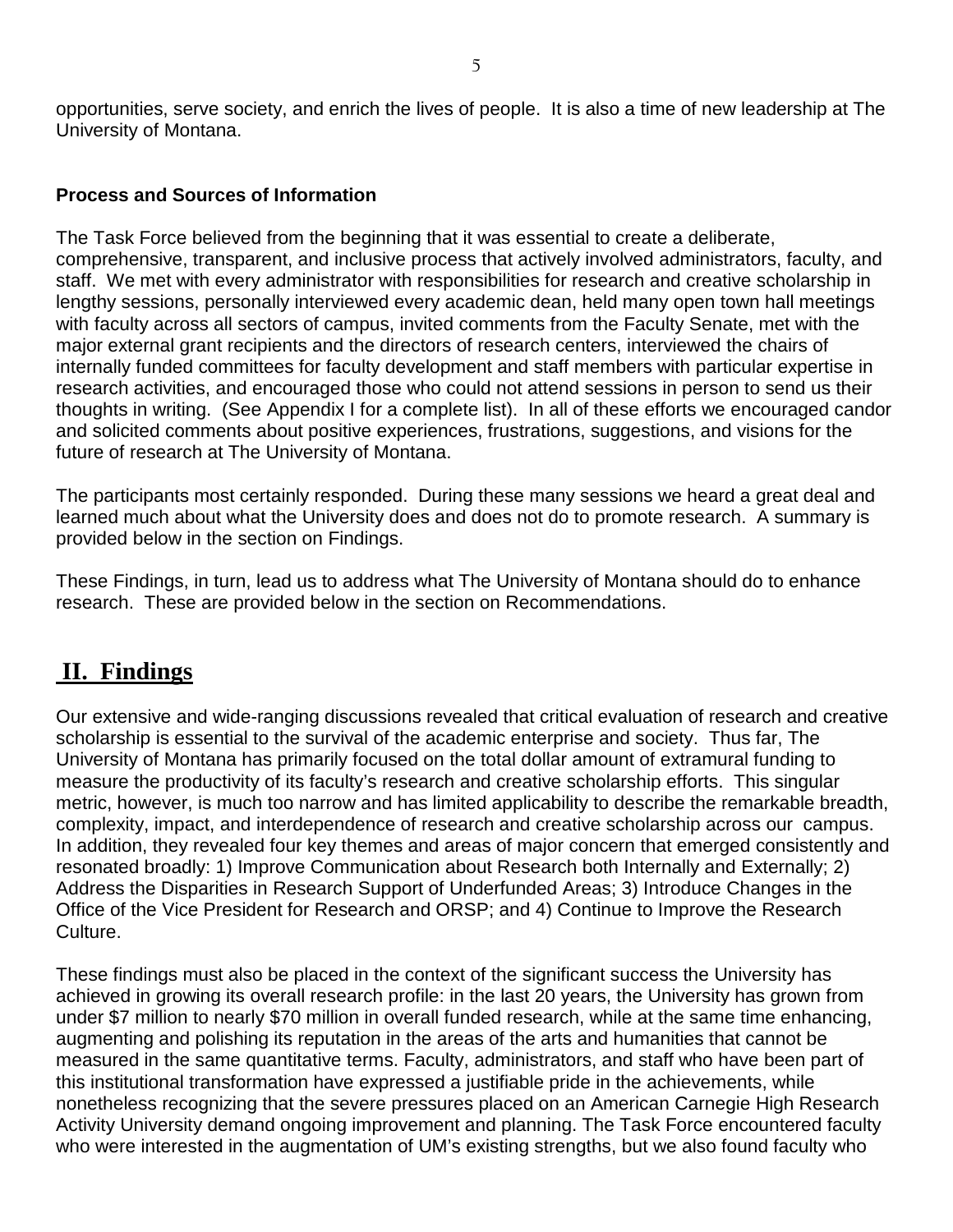opportunities, serve society, and enrich the lives of people. It is also a time of new leadership at The University of Montana.

#### **Process and Sources of Information**

The Task Force believed from the beginning that it was essential to create a deliberate, comprehensive, transparent, and inclusive process that actively involved administrators, faculty, and staff. We met with every administrator with responsibilities for research and creative scholarship in lengthy sessions, personally interviewed every academic dean, held many open town hall meetings with faculty across all sectors of campus, invited comments from the Faculty Senate, met with the major external grant recipients and the directors of research centers, interviewed the chairs of internally funded committees for faculty development and staff members with particular expertise in research activities, and encouraged those who could not attend sessions in person to send us their thoughts in writing. (See Appendix I for a complete list). In all of these efforts we encouraged candor and solicited comments about positive experiences, frustrations, suggestions, and visions for the future of research at The University of Montana.

The participants most certainly responded. During these many sessions we heard a great deal and learned much about what the University does and does not do to promote research. A summary is provided below in the section on Findings.

These Findings, in turn, lead us to address what The University of Montana should do to enhance research. These are provided below in the section on Recommendations.

## **II. Findings**

Our extensive and wide-ranging discussions revealed that critical evaluation of research and creative scholarship is essential to the survival of the academic enterprise and society. Thus far, The University of Montana has primarily focused on the total dollar amount of extramural funding to measure the productivity of its faculty's research and creative scholarship efforts. This singular metric, however, is much too narrow and has limited applicability to describe the remarkable breadth, complexity, impact, and interdependence of research and creative scholarship across our campus. In addition, they revealed four key themes and areas of major concern that emerged consistently and resonated broadly: 1) Improve Communication about Research both Internally and Externally; 2) Address the Disparities in Research Support of Underfunded Areas; 3) Introduce Changes in the Office of the Vice President for Research and ORSP; and 4) Continue to Improve the Research Culture.

These findings must also be placed in the context of the significant success the University has achieved in growing its overall research profile: in the last 20 years, the University has grown from under \$7 million to nearly \$70 million in overall funded research, while at the same time enhancing, augmenting and polishing its reputation in the areas of the arts and humanities that cannot be measured in the same quantitative terms. Faculty, administrators, and staff who have been part of this institutional transformation have expressed a justifiable pride in the achievements, while nonetheless recognizing that the severe pressures placed on an American Carnegie High Research Activity University demand ongoing improvement and planning. The Task Force encountered faculty who were interested in the augmentation of UM's existing strengths, but we also found faculty who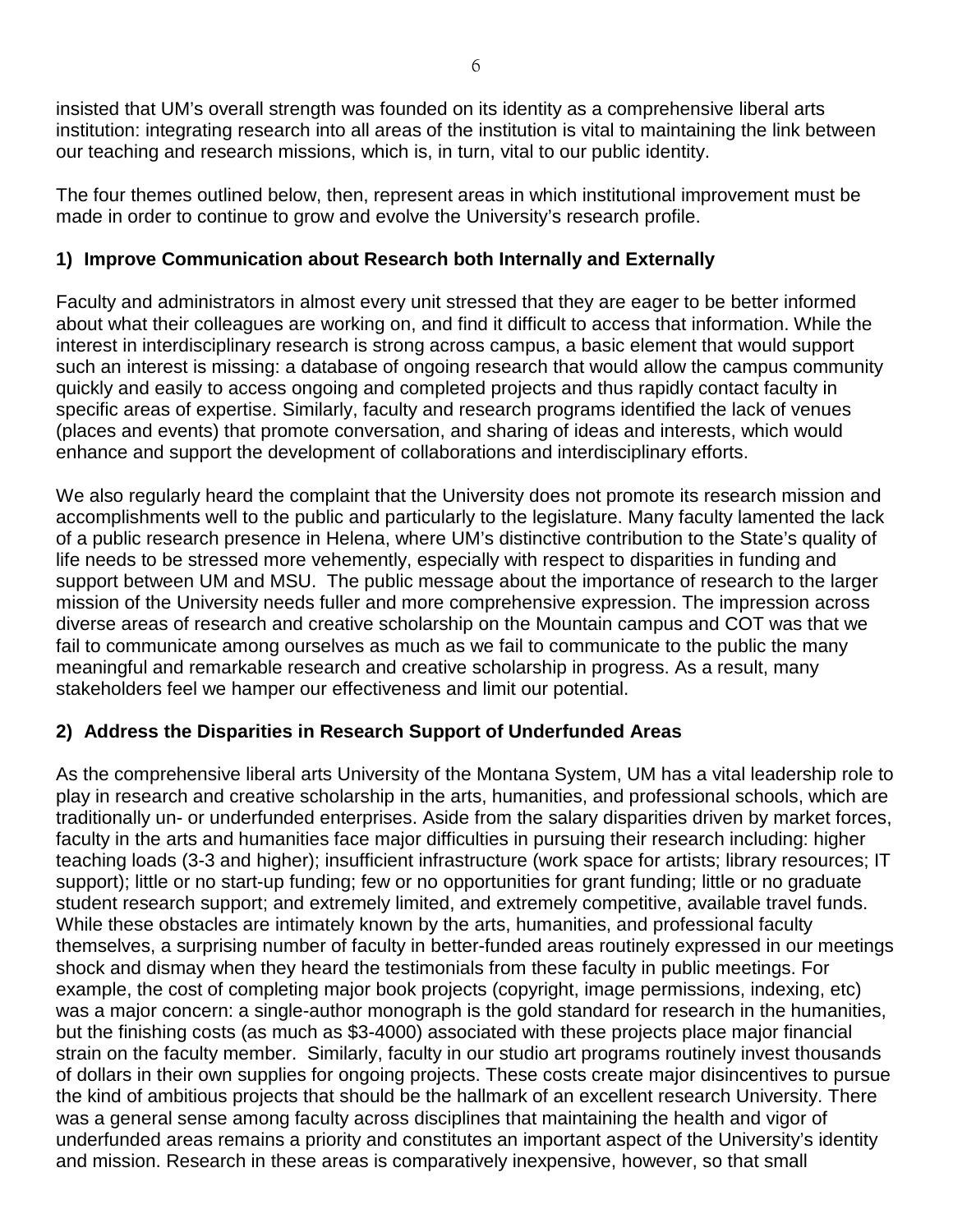insisted that UM's overall strength was founded on its identity as a comprehensive liberal arts institution: integrating research into all areas of the institution is vital to maintaining the link between our teaching and research missions, which is, in turn, vital to our public identity.

The four themes outlined below, then, represent areas in which institutional improvement must be made in order to continue to grow and evolve the University's research profile.

#### **1) Improve Communication about Research both Internally and Externally**

Faculty and administrators in almost every unit stressed that they are eager to be better informed about what their colleagues are working on, and find it difficult to access that information. While the interest in interdisciplinary research is strong across campus, a basic element that would support such an interest is missing: a database of ongoing research that would allow the campus community quickly and easily to access ongoing and completed projects and thus rapidly contact faculty in specific areas of expertise. Similarly, faculty and research programs identified the lack of venues (places and events) that promote conversation, and sharing of ideas and interests, which would enhance and support the development of collaborations and interdisciplinary efforts.

We also regularly heard the complaint that the University does not promote its research mission and accomplishments well to the public and particularly to the legislature. Many faculty lamented the lack of a public research presence in Helena, where UM's distinctive contribution to the State's quality of life needs to be stressed more vehemently, especially with respect to disparities in funding and support between UM and MSU. The public message about the importance of research to the larger mission of the University needs fuller and more comprehensive expression. The impression across diverse areas of research and creative scholarship on the Mountain campus and COT was that we fail to communicate among ourselves as much as we fail to communicate to the public the many meaningful and remarkable research and creative scholarship in progress. As a result, many stakeholders feel we hamper our effectiveness and limit our potential.

#### **2) Address the Disparities in Research Support of Underfunded Areas**

As the comprehensive liberal arts University of the Montana System, UM has a vital leadership role to play in research and creative scholarship in the arts, humanities, and professional schools, which are traditionally un- or underfunded enterprises. Aside from the salary disparities driven by market forces, faculty in the arts and humanities face major difficulties in pursuing their research including: higher teaching loads (3-3 and higher); insufficient infrastructure (work space for artists; library resources; IT support); little or no start-up funding; few or no opportunities for grant funding; little or no graduate student research support; and extremely limited, and extremely competitive, available travel funds. While these obstacles are intimately known by the arts, humanities, and professional faculty themselves, a surprising number of faculty in better-funded areas routinely expressed in our meetings shock and dismay when they heard the testimonials from these faculty in public meetings. For example, the cost of completing major book projects (copyright, image permissions, indexing, etc) was a major concern: a single-author monograph is the gold standard for research in the humanities, but the finishing costs (as much as \$3-4000) associated with these projects place major financial strain on the faculty member. Similarly, faculty in our studio art programs routinely invest thousands of dollars in their own supplies for ongoing projects. These costs create major disincentives to pursue the kind of ambitious projects that should be the hallmark of an excellent research University. There was a general sense among faculty across disciplines that maintaining the health and vigor of underfunded areas remains a priority and constitutes an important aspect of the University's identity and mission. Research in these areas is comparatively inexpensive, however, so that small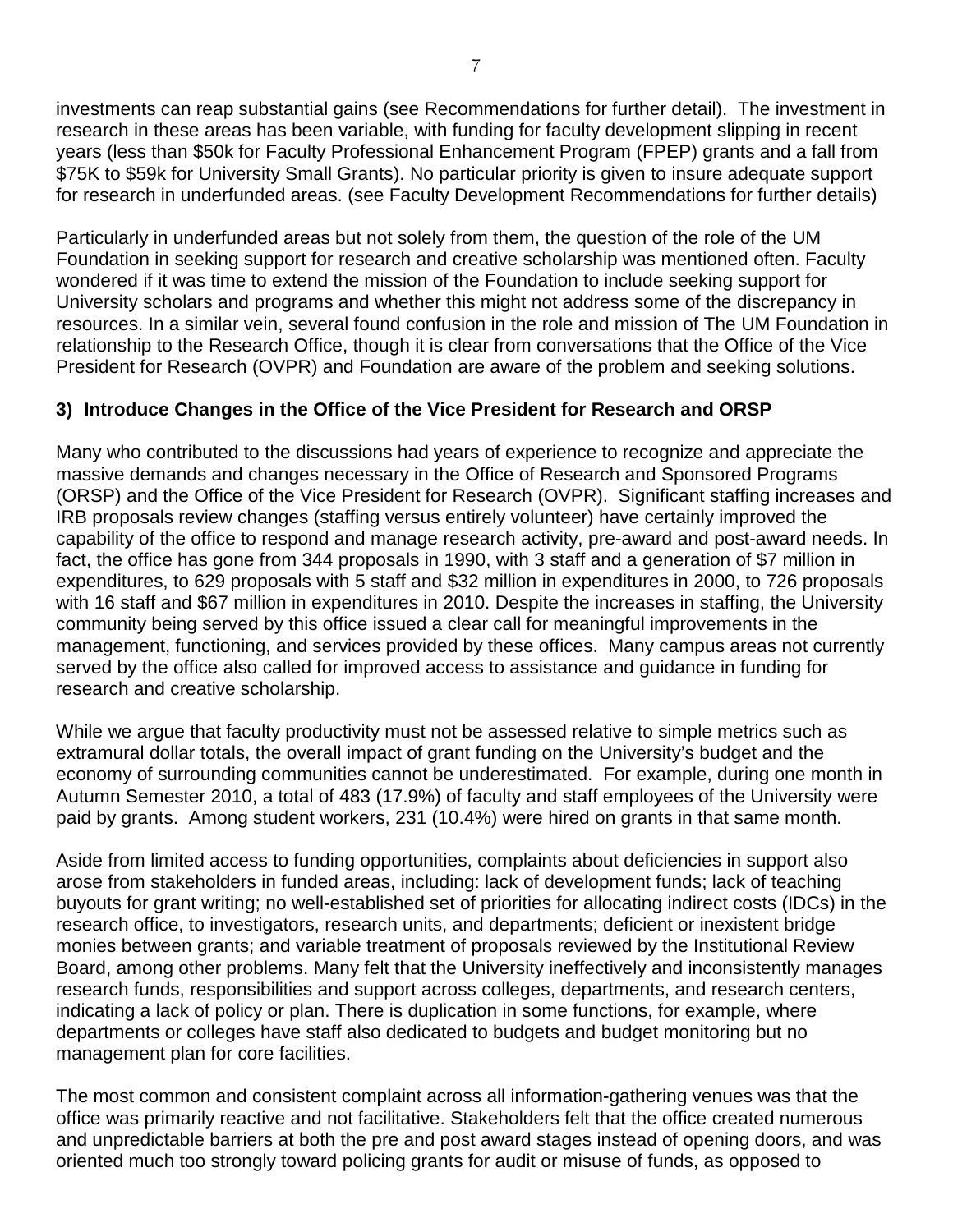investments can reap substantial gains (see Recommendations for further detail). The investment in research in these areas has been variable, with funding for faculty development slipping in recent years (less than \$50k for Faculty Professional Enhancement Program (FPEP) grants and a fall from \$75K to \$59k for University Small Grants). No particular priority is given to insure adequate support for research in underfunded areas. (see Faculty Development Recommendations for further details)

Particularly in underfunded areas but not solely from them, the question of the role of the UM Foundation in seeking support for research and creative scholarship was mentioned often. Faculty wondered if it was time to extend the mission of the Foundation to include seeking support for University scholars and programs and whether this might not address some of the discrepancy in resources. In a similar vein, several found confusion in the role and mission of The UM Foundation in relationship to the Research Office, though it is clear from conversations that the Office of the Vice President for Research (OVPR) and Foundation are aware of the problem and seeking solutions.

#### **3) Introduce Changes in the Office of the Vice President for Research and ORSP**

Many who contributed to the discussions had years of experience to recognize and appreciate the massive demands and changes necessary in the Office of Research and Sponsored Programs (ORSP) and the Office of the Vice President for Research (OVPR). Significant staffing increases and IRB proposals review changes (staffing versus entirely volunteer) have certainly improved the capability of the office to respond and manage research activity, pre-award and post-award needs. In fact, the office has gone from 344 proposals in 1990, with 3 staff and a generation of \$7 million in expenditures, to 629 proposals with 5 staff and \$32 million in expenditures in 2000, to 726 proposals with 16 staff and \$67 million in expenditures in 2010. Despite the increases in staffing, the University community being served by this office issued a clear call for meaningful improvements in the management, functioning, and services provided by these offices. Many campus areas not currently served by the office also called for improved access to assistance and guidance in funding for research and creative scholarship.

While we argue that faculty productivity must not be assessed relative to simple metrics such as extramural dollar totals, the overall impact of grant funding on the University's budget and the economy of surrounding communities cannot be underestimated. For example, during one month in Autumn Semester 2010, a total of 483 (17.9%) of faculty and staff employees of the University were paid by grants. Among student workers, 231 (10.4%) were hired on grants in that same month.

Aside from limited access to funding opportunities, complaints about deficiencies in support also arose from stakeholders in funded areas, including: lack of development funds; lack of teaching buyouts for grant writing; no well-established set of priorities for allocating indirect costs (IDCs) in the research office, to investigators, research units, and departments; deficient or inexistent bridge monies between grants; and variable treatment of proposals reviewed by the Institutional Review Board, among other problems. Many felt that the University ineffectively and inconsistently manages research funds, responsibilities and support across colleges, departments, and research centers, indicating a lack of policy or plan. There is duplication in some functions, for example, where departments or colleges have staff also dedicated to budgets and budget monitoring but no management plan for core facilities.

The most common and consistent complaint across all information-gathering venues was that the office was primarily reactive and not facilitative. Stakeholders felt that the office created numerous and unpredictable barriers at both the pre and post award stages instead of opening doors, and was oriented much too strongly toward policing grants for audit or misuse of funds, as opposed to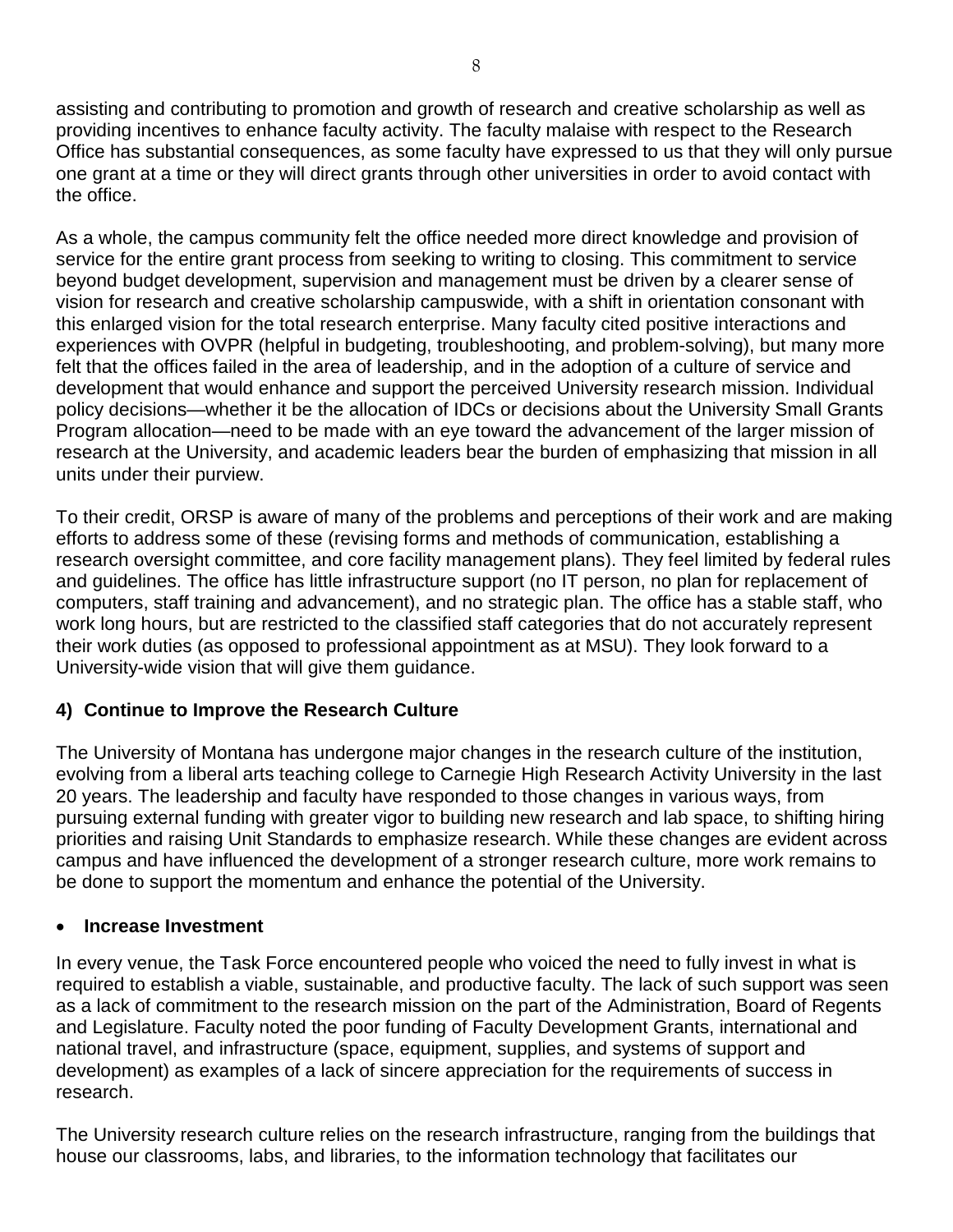assisting and contributing to promotion and growth of research and creative scholarship as well as providing incentives to enhance faculty activity. The faculty malaise with respect to the Research Office has substantial consequences, as some faculty have expressed to us that they will only pursue one grant at a time or they will direct grants through other universities in order to avoid contact with the office.

As a whole, the campus community felt the office needed more direct knowledge and provision of service for the entire grant process from seeking to writing to closing. This commitment to service beyond budget development, supervision and management must be driven by a clearer sense of vision for research and creative scholarship campuswide, with a shift in orientation consonant with this enlarged vision for the total research enterprise. Many faculty cited positive interactions and experiences with OVPR (helpful in budgeting, troubleshooting, and problem-solving), but many more felt that the offices failed in the area of leadership, and in the adoption of a culture of service and development that would enhance and support the perceived University research mission. Individual policy decisions—whether it be the allocation of IDCs or decisions about the University Small Grants Program allocation—need to be made with an eye toward the advancement of the larger mission of research at the University, and academic leaders bear the burden of emphasizing that mission in all units under their purview.

To their credit, ORSP is aware of many of the problems and perceptions of their work and are making efforts to address some of these (revising forms and methods of communication, establishing a research oversight committee, and core facility management plans). They feel limited by federal rules and guidelines. The office has little infrastructure support (no IT person, no plan for replacement of computers, staff training and advancement), and no strategic plan. The office has a stable staff, who work long hours, but are restricted to the classified staff categories that do not accurately represent their work duties (as opposed to professional appointment as at MSU). They look forward to a University-wide vision that will give them guidance.

#### **4) Continue to Improve the Research Culture**

The University of Montana has undergone major changes in the research culture of the institution, evolving from a liberal arts teaching college to Carnegie High Research Activity University in the last 20 years. The leadership and faculty have responded to those changes in various ways, from pursuing external funding with greater vigor to building new research and lab space, to shifting hiring priorities and raising Unit Standards to emphasize research. While these changes are evident across campus and have influenced the development of a stronger research culture, more work remains to be done to support the momentum and enhance the potential of the University.

#### • **Increase Investment**

In every venue, the Task Force encountered people who voiced the need to fully invest in what is required to establish a viable, sustainable, and productive faculty. The lack of such support was seen as a lack of commitment to the research mission on the part of the Administration, Board of Regents and Legislature. Faculty noted the poor funding of Faculty Development Grants, international and national travel, and infrastructure (space, equipment, supplies, and systems of support and development) as examples of a lack of sincere appreciation for the requirements of success in research.

The University research culture relies on the research infrastructure, ranging from the buildings that house our classrooms, labs, and libraries, to the information technology that facilitates our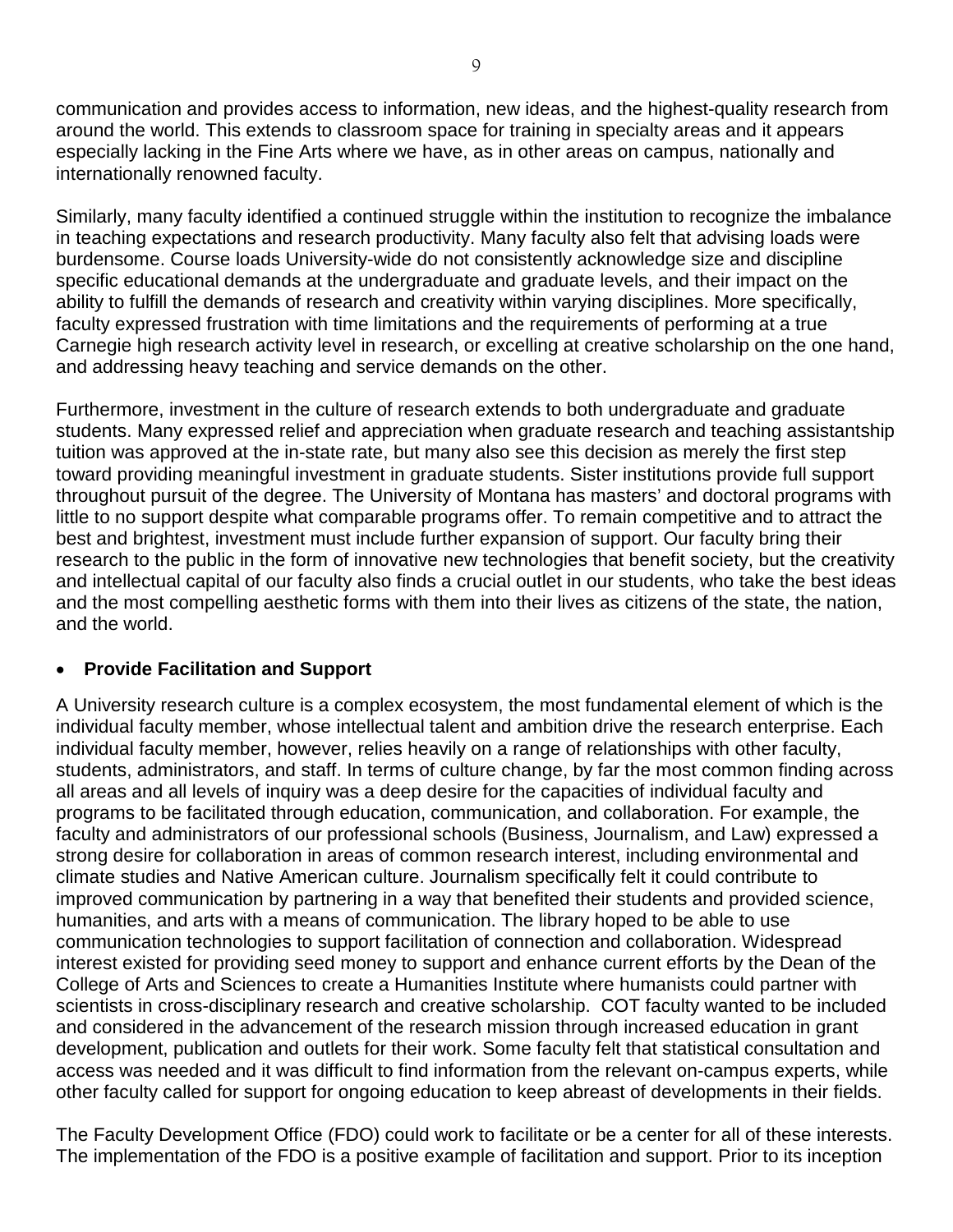communication and provides access to information, new ideas, and the highest-quality research from around the world. This extends to classroom space for training in specialty areas and it appears especially lacking in the Fine Arts where we have, as in other areas on campus, nationally and internationally renowned faculty.

Similarly, many faculty identified a continued struggle within the institution to recognize the imbalance in teaching expectations and research productivity. Many faculty also felt that advising loads were burdensome. Course loads University-wide do not consistently acknowledge size and discipline specific educational demands at the undergraduate and graduate levels, and their impact on the ability to fulfill the demands of research and creativity within varying disciplines. More specifically, faculty expressed frustration with time limitations and the requirements of performing at a true Carnegie high research activity level in research, or excelling at creative scholarship on the one hand, and addressing heavy teaching and service demands on the other.

Furthermore, investment in the culture of research extends to both undergraduate and graduate students. Many expressed relief and appreciation when graduate research and teaching assistantship tuition was approved at the in-state rate, but many also see this decision as merely the first step toward providing meaningful investment in graduate students. Sister institutions provide full support throughout pursuit of the degree. The University of Montana has masters' and doctoral programs with little to no support despite what comparable programs offer. To remain competitive and to attract the best and brightest, investment must include further expansion of support. Our faculty bring their research to the public in the form of innovative new technologies that benefit society, but the creativity and intellectual capital of our faculty also finds a crucial outlet in our students, who take the best ideas and the most compelling aesthetic forms with them into their lives as citizens of the state, the nation, and the world.

#### • **Provide Facilitation and Support**

A University research culture is a complex ecosystem, the most fundamental element of which is the individual faculty member, whose intellectual talent and ambition drive the research enterprise. Each individual faculty member, however, relies heavily on a range of relationships with other faculty, students, administrators, and staff. In terms of culture change, by far the most common finding across all areas and all levels of inquiry was a deep desire for the capacities of individual faculty and programs to be facilitated through education, communication, and collaboration. For example, the faculty and administrators of our professional schools (Business, Journalism, and Law) expressed a strong desire for collaboration in areas of common research interest, including environmental and climate studies and Native American culture. Journalism specifically felt it could contribute to improved communication by partnering in a way that benefited their students and provided science, humanities, and arts with a means of communication. The library hoped to be able to use communication technologies to support facilitation of connection and collaboration. Widespread interest existed for providing seed money to support and enhance current efforts by the Dean of the College of Arts and Sciences to create a Humanities Institute where humanists could partner with scientists in cross-disciplinary research and creative scholarship. COT faculty wanted to be included and considered in the advancement of the research mission through increased education in grant development, publication and outlets for their work. Some faculty felt that statistical consultation and access was needed and it was difficult to find information from the relevant on-campus experts, while other faculty called for support for ongoing education to keep abreast of developments in their fields.

The Faculty Development Office (FDO) could work to facilitate or be a center for all of these interests. The implementation of the FDO is a positive example of facilitation and support. Prior to its inception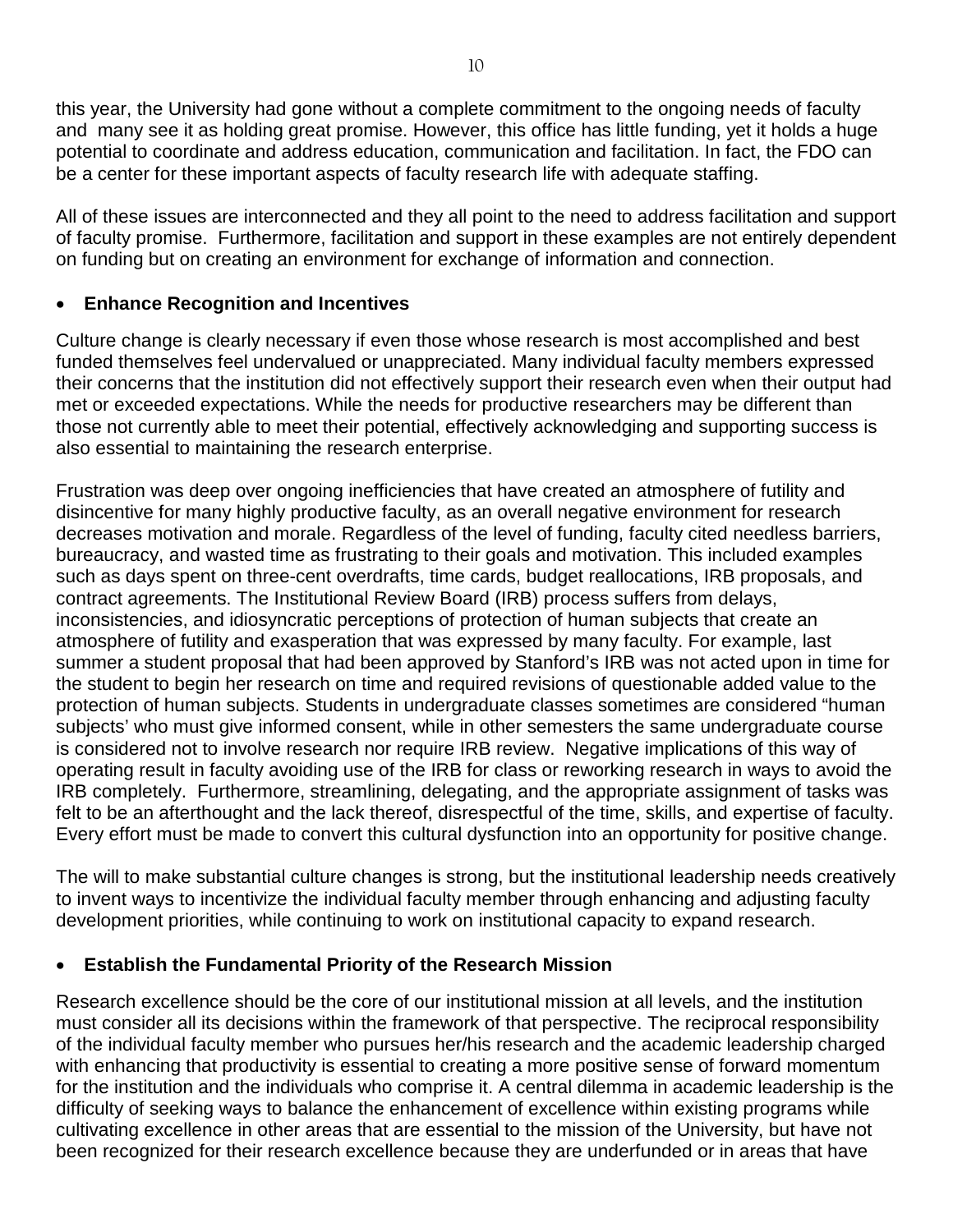this year, the University had gone without a complete commitment to the ongoing needs of faculty and many see it as holding great promise. However, this office has little funding, yet it holds a huge potential to coordinate and address education, communication and facilitation. In fact, the FDO can be a center for these important aspects of faculty research life with adequate staffing.

All of these issues are interconnected and they all point to the need to address facilitation and support of faculty promise. Furthermore, facilitation and support in these examples are not entirely dependent on funding but on creating an environment for exchange of information and connection.

#### • **Enhance Recognition and Incentives**

Culture change is clearly necessary if even those whose research is most accomplished and best funded themselves feel undervalued or unappreciated. Many individual faculty members expressed their concerns that the institution did not effectively support their research even when their output had met or exceeded expectations. While the needs for productive researchers may be different than those not currently able to meet their potential, effectively acknowledging and supporting success is also essential to maintaining the research enterprise.

Frustration was deep over ongoing inefficiencies that have created an atmosphere of futility and disincentive for many highly productive faculty, as an overall negative environment for research decreases motivation and morale. Regardless of the level of funding, faculty cited needless barriers, bureaucracy, and wasted time as frustrating to their goals and motivation. This included examples such as days spent on three-cent overdrafts, time cards, budget reallocations, IRB proposals, and contract agreements. The Institutional Review Board (IRB) process suffers from delays, inconsistencies, and idiosyncratic perceptions of protection of human subjects that create an atmosphere of futility and exasperation that was expressed by many faculty. For example, last summer a student proposal that had been approved by Stanford's IRB was not acted upon in time for the student to begin her research on time and required revisions of questionable added value to the protection of human subjects. Students in undergraduate classes sometimes are considered "human subjects' who must give informed consent, while in other semesters the same undergraduate course is considered not to involve research nor require IRB review. Negative implications of this way of operating result in faculty avoiding use of the IRB for class or reworking research in ways to avoid the IRB completely. Furthermore, streamlining, delegating, and the appropriate assignment of tasks was felt to be an afterthought and the lack thereof, disrespectful of the time, skills, and expertise of faculty. Every effort must be made to convert this cultural dysfunction into an opportunity for positive change.

The will to make substantial culture changes is strong, but the institutional leadership needs creatively to invent ways to incentivize the individual faculty member through enhancing and adjusting faculty development priorities, while continuing to work on institutional capacity to expand research.

#### • **Establish the Fundamental Priority of the Research Mission**

Research excellence should be the core of our institutional mission at all levels, and the institution must consider all its decisions within the framework of that perspective. The reciprocal responsibility of the individual faculty member who pursues her/his research and the academic leadership charged with enhancing that productivity is essential to creating a more positive sense of forward momentum for the institution and the individuals who comprise it. A central dilemma in academic leadership is the difficulty of seeking ways to balance the enhancement of excellence within existing programs while cultivating excellence in other areas that are essential to the mission of the University, but have not been recognized for their research excellence because they are underfunded or in areas that have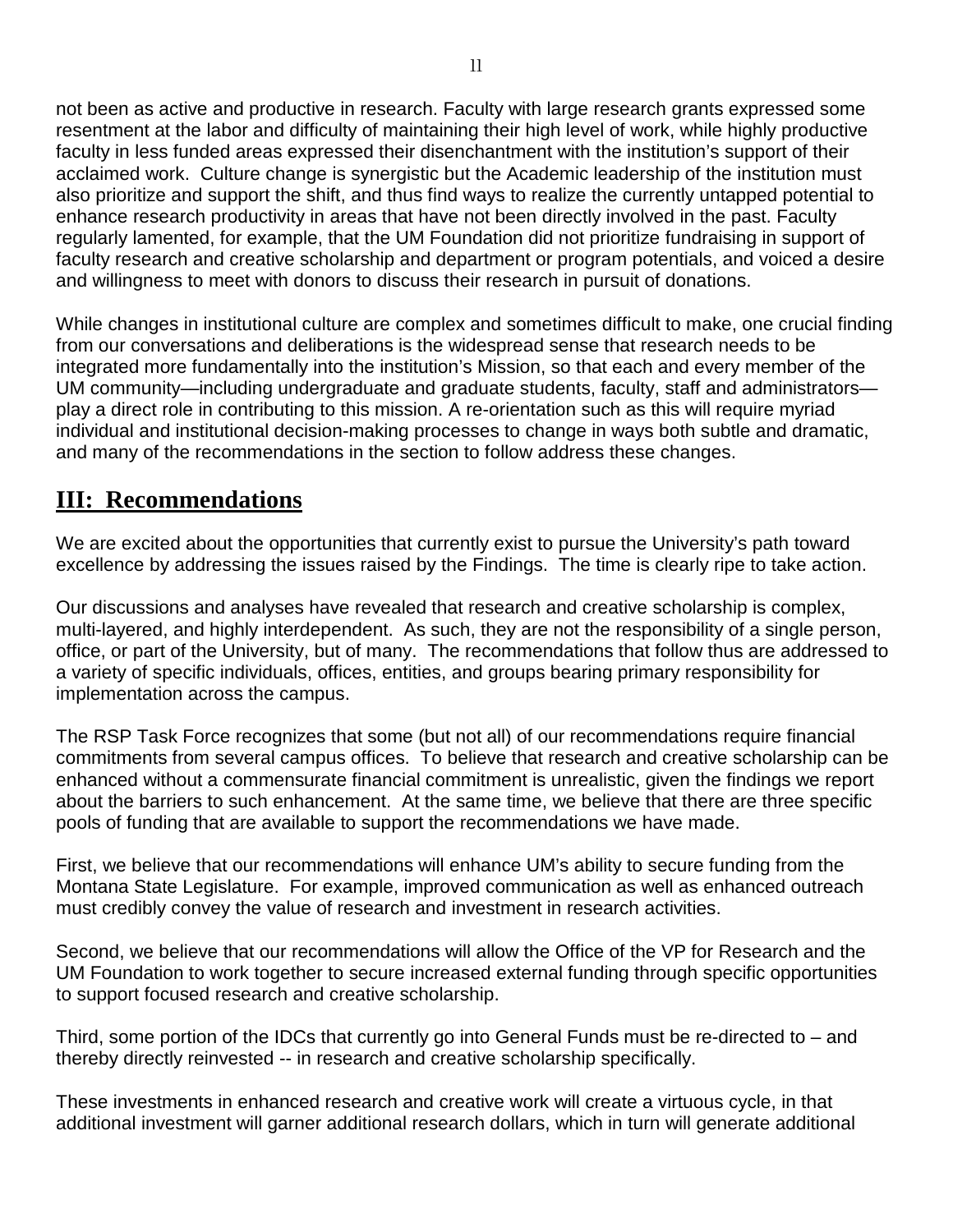not been as active and productive in research. Faculty with large research grants expressed some resentment at the labor and difficulty of maintaining their high level of work, while highly productive faculty in less funded areas expressed their disenchantment with the institution's support of their acclaimed work. Culture change is synergistic but the Academic leadership of the institution must also prioritize and support the shift, and thus find ways to realize the currently untapped potential to enhance research productivity in areas that have not been directly involved in the past. Faculty regularly lamented, for example, that the UM Foundation did not prioritize fundraising in support of faculty research and creative scholarship and department or program potentials, and voiced a desire and willingness to meet with donors to discuss their research in pursuit of donations.

While changes in institutional culture are complex and sometimes difficult to make, one crucial finding from our conversations and deliberations is the widespread sense that research needs to be integrated more fundamentally into the institution's Mission, so that each and every member of the UM community—including undergraduate and graduate students, faculty, staff and administrators play a direct role in contributing to this mission. A re-orientation such as this will require myriad individual and institutional decision-making processes to change in ways both subtle and dramatic, and many of the recommendations in the section to follow address these changes.

## **III: Recommendations**

We are excited about the opportunities that currently exist to pursue the University's path toward excellence by addressing the issues raised by the Findings. The time is clearly ripe to take action.

Our discussions and analyses have revealed that research and creative scholarship is complex, multi-layered, and highly interdependent. As such, they are not the responsibility of a single person, office, or part of the University, but of many. The recommendations that follow thus are addressed to a variety of specific individuals, offices, entities, and groups bearing primary responsibility for implementation across the campus.

The RSP Task Force recognizes that some (but not all) of our recommendations require financial commitments from several campus offices. To believe that research and creative scholarship can be enhanced without a commensurate financial commitment is unrealistic, given the findings we report about the barriers to such enhancement. At the same time, we believe that there are three specific pools of funding that are available to support the recommendations we have made.

First, we believe that our recommendations will enhance UM's ability to secure funding from the Montana State Legislature. For example, improved communication as well as enhanced outreach must credibly convey the value of research and investment in research activities.

Second, we believe that our recommendations will allow the Office of the VP for Research and the UM Foundation to work together to secure increased external funding through specific opportunities to support focused research and creative scholarship.

Third, some portion of the IDCs that currently go into General Funds must be re-directed to – and thereby directly reinvested -- in research and creative scholarship specifically.

These investments in enhanced research and creative work will create a virtuous cycle, in that additional investment will garner additional research dollars, which in turn will generate additional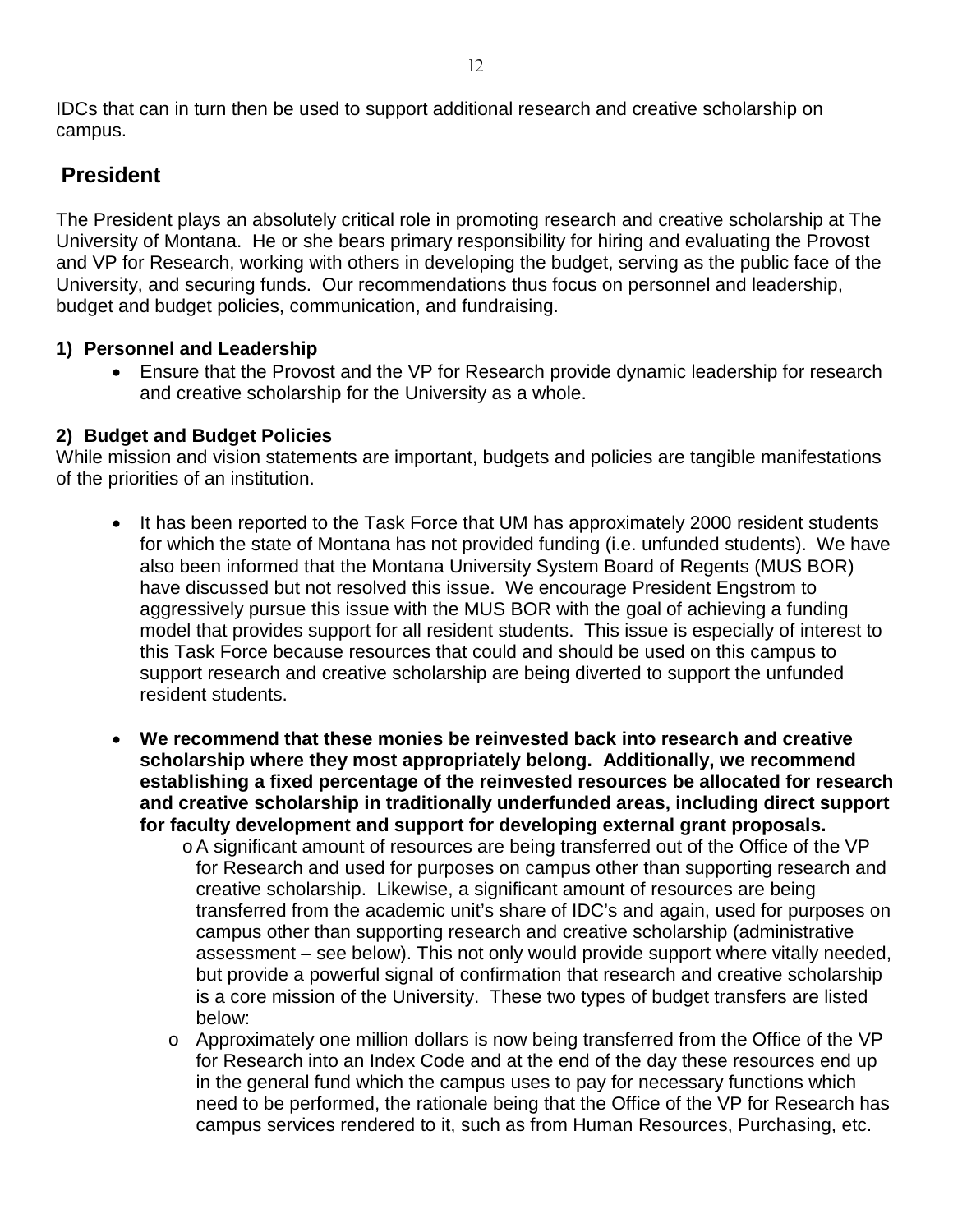IDCs that can in turn then be used to support additional research and creative scholarship on campus.

## **President**

The President plays an absolutely critical role in promoting research and creative scholarship at The University of Montana. He or she bears primary responsibility for hiring and evaluating the Provost and VP for Research, working with others in developing the budget, serving as the public face of the University, and securing funds. Our recommendations thus focus on personnel and leadership, budget and budget policies, communication, and fundraising.

#### **1) Personnel and Leadership**

• Ensure that the Provost and the VP for Research provide dynamic leadership for research and creative scholarship for the University as a whole.

#### **2) Budget and Budget Policies**

While mission and vision statements are important, budgets and policies are tangible manifestations of the priorities of an institution.

- It has been reported to the Task Force that UM has approximately 2000 resident students for which the state of Montana has not provided funding (i.e. unfunded students). We have also been informed that the Montana University System Board of Regents (MUS BOR) have discussed but not resolved this issue. We encourage President Engstrom to aggressively pursue this issue with the MUS BOR with the goal of achieving a funding model that provides support for all resident students. This issue is especially of interest to this Task Force because resources that could and should be used on this campus to support research and creative scholarship are being diverted to support the unfunded resident students.
- **We recommend that these monies be reinvested back into research and creative scholarship where they most appropriately belong. Additionally, we recommend establishing a fixed percentage of the reinvested resources be allocated for research and creative scholarship in traditionally underfunded areas, including direct support for faculty development and support for developing external grant proposals.**
	- oA significant amount of resources are being transferred out of the Office of the VP for Research and used for purposes on campus other than supporting research and creative scholarship. Likewise, a significant amount of resources are being transferred from the academic unit's share of IDC's and again, used for purposes on campus other than supporting research and creative scholarship (administrative assessment – see below). This not only would provide support where vitally needed, but provide a powerful signal of confirmation that research and creative scholarship is a core mission of the University. These two types of budget transfers are listed below:
	- o Approximately one million dollars is now being transferred from the Office of the VP for Research into an Index Code and at the end of the day these resources end up in the general fund which the campus uses to pay for necessary functions which need to be performed, the rationale being that the Office of the VP for Research has campus services rendered to it, such as from Human Resources, Purchasing, etc.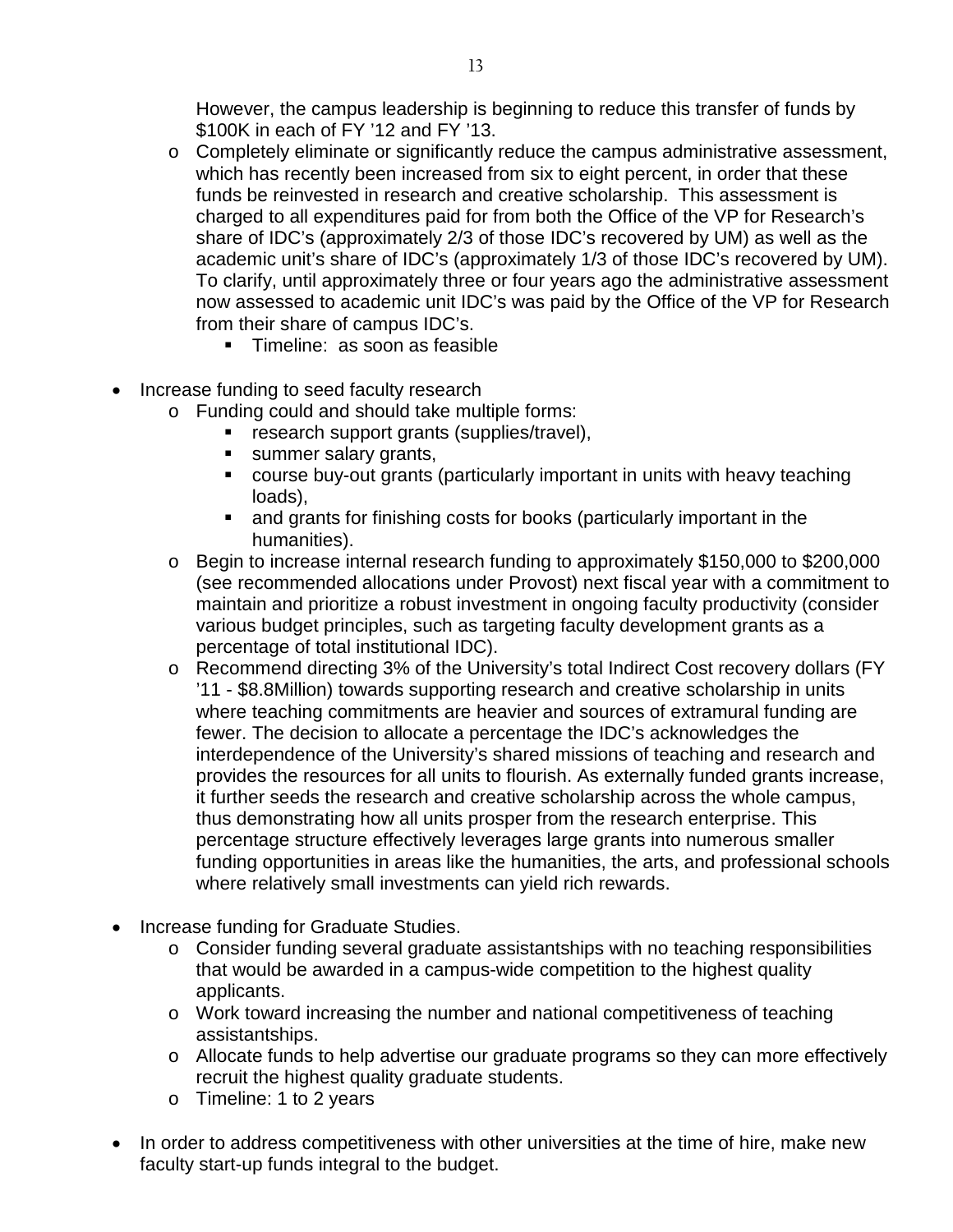However, the campus leadership is beginning to reduce this transfer of funds by \$100K in each of FY '12 and FY '13.

- $\circ$  Completely eliminate or significantly reduce the campus administrative assessment, which has recently been increased from six to eight percent, in order that these funds be reinvested in research and creative scholarship. This assessment is charged to all expenditures paid for from both the Office of the VP for Research's share of IDC's (approximately 2/3 of those IDC's recovered by UM) as well as the academic unit's share of IDC's (approximately 1/3 of those IDC's recovered by UM). To clarify, until approximately three or four years ago the administrative assessment now assessed to academic unit IDC's was paid by the Office of the VP for Research from their share of campus IDC's.
	- **Timeline: as soon as feasible**
- Increase funding to seed faculty research
	- o Funding could and should take multiple forms:
		- **EXEC** research support grants (supplies/travel),
		- **summer salary grants,**
		- course buy-out grants (particularly important in units with heavy teaching loads),
		- and grants for finishing costs for books (particularly important in the humanities).
	- o Begin to increase internal research funding to approximately \$150,000 to \$200,000 (see recommended allocations under Provost) next fiscal year with a commitment to maintain and prioritize a robust investment in ongoing faculty productivity (consider various budget principles, such as targeting faculty development grants as a percentage of total institutional IDC).
	- o Recommend directing 3% of the University's total Indirect Cost recovery dollars (FY '11 - \$8.8Million) towards supporting research and creative scholarship in units where teaching commitments are heavier and sources of extramural funding are fewer. The decision to allocate a percentage the IDC's acknowledges the interdependence of the University's shared missions of teaching and research and provides the resources for all units to flourish. As externally funded grants increase, it further seeds the research and creative scholarship across the whole campus, thus demonstrating how all units prosper from the research enterprise. This percentage structure effectively leverages large grants into numerous smaller funding opportunities in areas like the humanities, the arts, and professional schools where relatively small investments can yield rich rewards.
- Increase funding for Graduate Studies.
	- o Consider funding several graduate assistantships with no teaching responsibilities that would be awarded in a campus-wide competition to the highest quality applicants.
	- o Work toward increasing the number and national competitiveness of teaching assistantships.
	- o Allocate funds to help advertise our graduate programs so they can more effectively recruit the highest quality graduate students.
	- o Timeline: 1 to 2 years
- In order to address competitiveness with other universities at the time of hire, make new faculty start-up funds integral to the budget.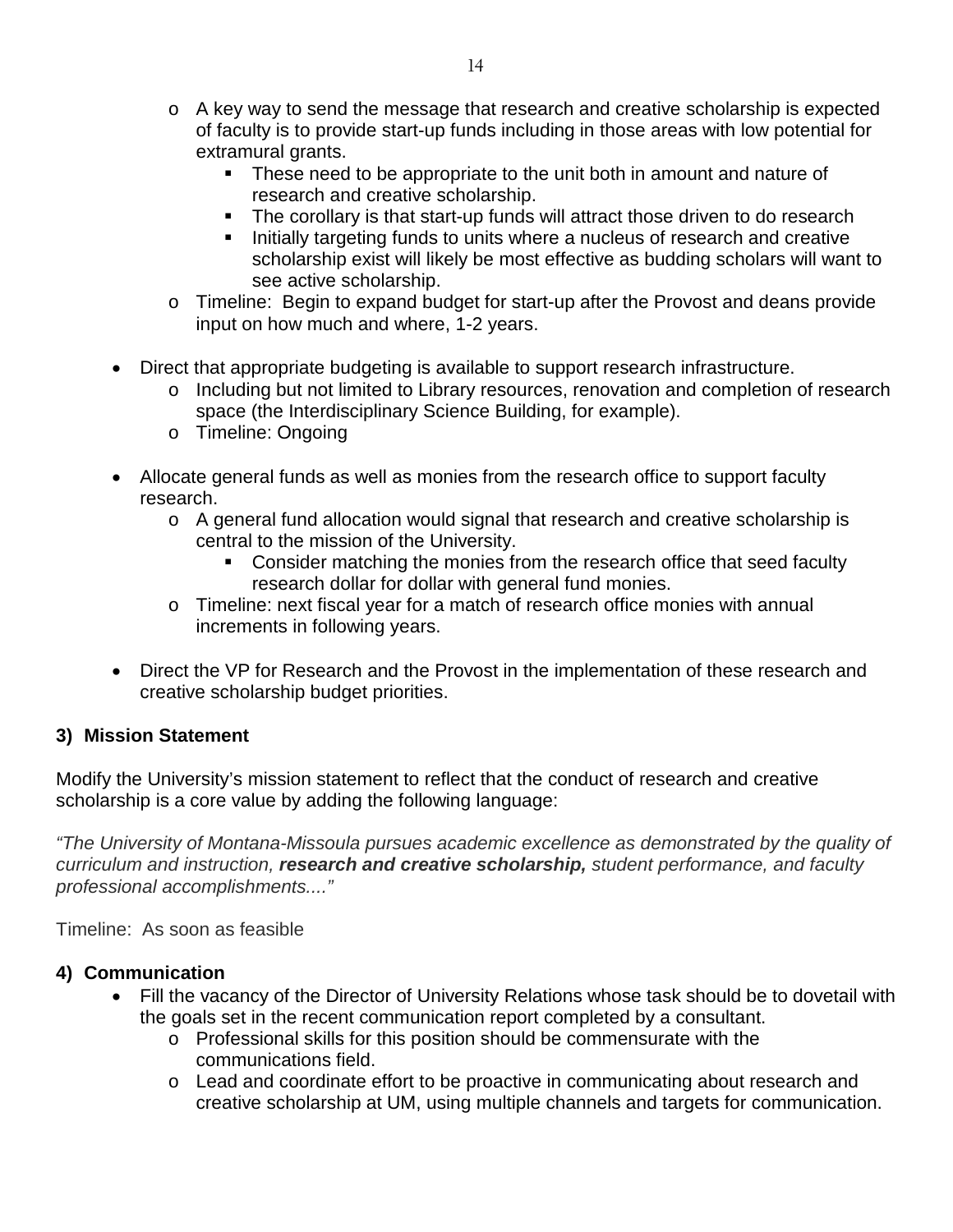- $\circ$  A key way to send the message that research and creative scholarship is expected of faculty is to provide start-up funds including in those areas with low potential for extramural grants.
	- These need to be appropriate to the unit both in amount and nature of research and creative scholarship.
	- The corollary is that start-up funds will attract those driven to do research
	- Initially targeting funds to units where a nucleus of research and creative scholarship exist will likely be most effective as budding scholars will want to see active scholarship.
- o Timeline: Begin to expand budget for start-up after the Provost and deans provide input on how much and where, 1-2 years.
- Direct that appropriate budgeting is available to support research infrastructure.
	- o Including but not limited to Library resources, renovation and completion of research space (the Interdisciplinary Science Building, for example).
	- o Timeline: Ongoing
- Allocate general funds as well as monies from the research office to support faculty research.
	- o A general fund allocation would signal that research and creative scholarship is central to the mission of the University.
		- Consider matching the monies from the research office that seed faculty research dollar for dollar with general fund monies.
	- o Timeline: next fiscal year for a match of research office monies with annual increments in following years.
- Direct the VP for Research and the Provost in the implementation of these research and creative scholarship budget priorities.

#### **3) Mission Statement**

Modify the University's mission statement to reflect that the conduct of research and creative scholarship is a core value by adding the following language:

*"The University of Montana-Missoula pursues academic excellence as demonstrated by the quality of curriculum and instruction, research and creative scholarship, student performance, and faculty professional accomplishments...."*

Timeline: As soon as feasible

#### **4) Communication**

- Fill the vacancy of the Director of University Relations whose task should be to dovetail with the goals set in the recent communication report completed by a consultant.
	- o Professional skills for this position should be commensurate with the communications field.
	- o Lead and coordinate effort to be proactive in communicating about research and creative scholarship at UM, using multiple channels and targets for communication.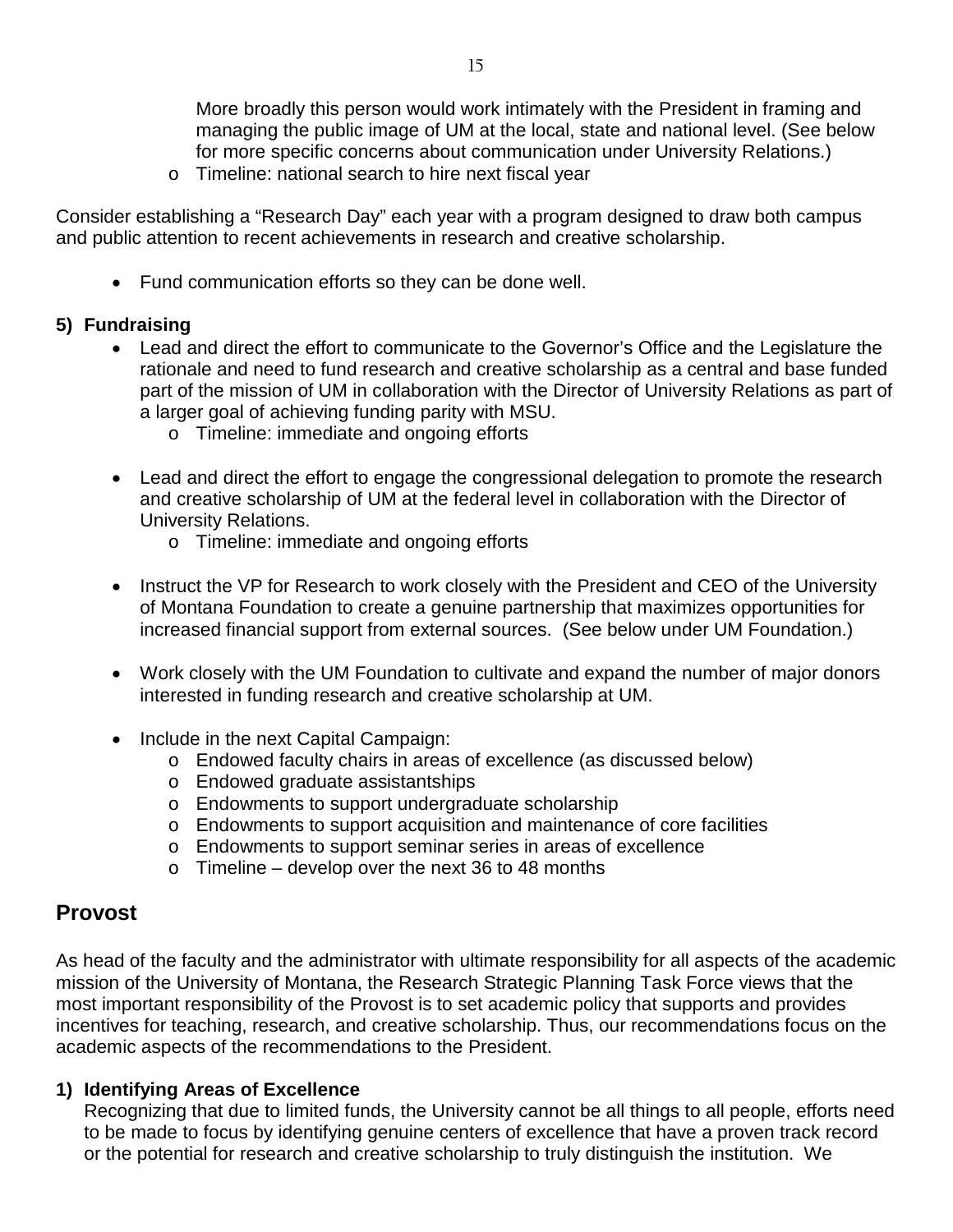More broadly this person would work intimately with the President in framing and managing the public image of UM at the local, state and national level. (See below for more specific concerns about communication under University Relations.)

o Timeline: national search to hire next fiscal year

Consider establishing a "Research Day" each year with a program designed to draw both campus and public attention to recent achievements in research and creative scholarship.

• Fund communication efforts so they can be done well.

#### **5) Fundraising**

- Lead and direct the effort to communicate to the Governor's Office and the Legislature the rationale and need to fund research and creative scholarship as a central and base funded part of the mission of UM in collaboration with the Director of University Relations as part of a larger goal of achieving funding parity with MSU.
	- o Timeline: immediate and ongoing efforts
- Lead and direct the effort to engage the congressional delegation to promote the research and creative scholarship of UM at the federal level in collaboration with the Director of University Relations.
	- o Timeline: immediate and ongoing efforts
- Instruct the VP for Research to work closely with the President and CEO of the University of Montana Foundation to create a genuine partnership that maximizes opportunities for increased financial support from external sources. (See below under UM Foundation.)
- Work closely with the UM Foundation to cultivate and expand the number of major donors interested in funding research and creative scholarship at UM.
- Include in the next Capital Campaign:
	- o Endowed faculty chairs in areas of excellence (as discussed below)
	- o Endowed graduate assistantships
	- o Endowments to support undergraduate scholarship
	- o Endowments to support acquisition and maintenance of core facilities
	- o Endowments to support seminar series in areas of excellence
	- $\circ$  Timeline develop over the next 36 to 48 months

#### **Provost**

As head of the faculty and the administrator with ultimate responsibility for all aspects of the academic mission of the University of Montana, the Research Strategic Planning Task Force views that the most important responsibility of the Provost is to set academic policy that supports and provides incentives for teaching, research, and creative scholarship. Thus, our recommendations focus on the academic aspects of the recommendations to the President.

#### **1) Identifying Areas of Excellence**

Recognizing that due to limited funds, the University cannot be all things to all people, efforts need to be made to focus by identifying genuine centers of excellence that have a proven track record or the potential for research and creative scholarship to truly distinguish the institution. We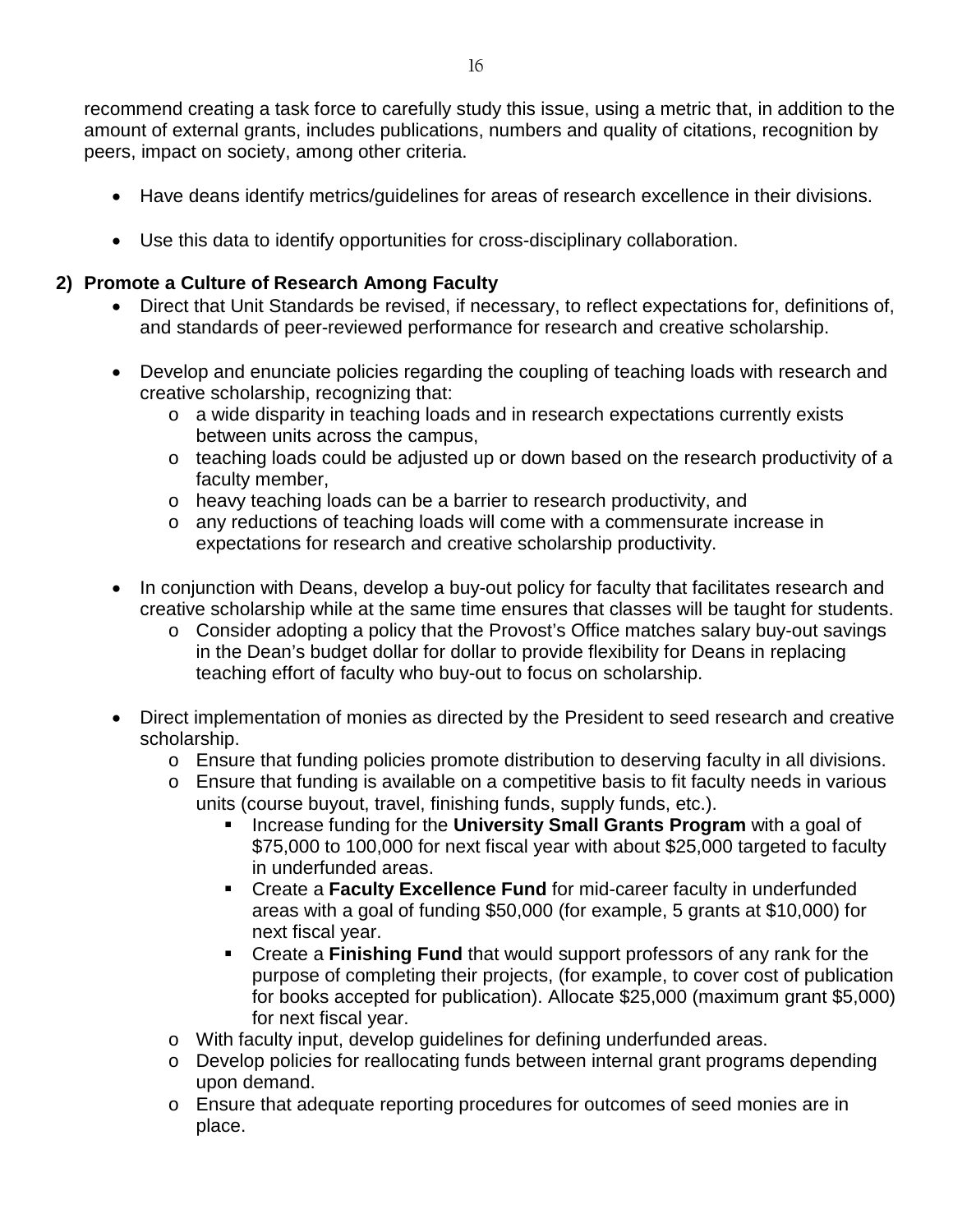recommend creating a task force to carefully study this issue, using a metric that, in addition to the amount of external grants, includes publications, numbers and quality of citations, recognition by peers, impact on society, among other criteria.

- Have deans identify metrics/guidelines for areas of research excellence in their divisions.
- Use this data to identify opportunities for cross-disciplinary collaboration.

#### **2) Promote a Culture of Research Among Faculty**

- Direct that Unit Standards be revised, if necessary, to reflect expectations for, definitions of, and standards of peer-reviewed performance for research and creative scholarship.
- Develop and enunciate policies regarding the coupling of teaching loads with research and creative scholarship, recognizing that:
	- o a wide disparity in teaching loads and in research expectations currently exists between units across the campus,
	- o teaching loads could be adjusted up or down based on the research productivity of a faculty member,
	- o heavy teaching loads can be a barrier to research productivity, and
	- o any reductions of teaching loads will come with a commensurate increase in expectations for research and creative scholarship productivity.
- In conjunction with Deans, develop a buy-out policy for faculty that facilitates research and creative scholarship while at the same time ensures that classes will be taught for students.
	- o Consider adopting a policy that the Provost's Office matches salary buy-out savings in the Dean's budget dollar for dollar to provide flexibility for Deans in replacing teaching effort of faculty who buy-out to focus on scholarship.
- Direct implementation of monies as directed by the President to seed research and creative scholarship.
	- o Ensure that funding policies promote distribution to deserving faculty in all divisions.
	- o Ensure that funding is available on a competitive basis to fit faculty needs in various units (course buyout, travel, finishing funds, supply funds, etc.).
		- **Increase funding for the University Small Grants Program** with a goal of \$75,000 to 100,000 for next fiscal year with about \$25,000 targeted to faculty in underfunded areas.
		- **EXTERN FIRMILE CREATE:** Create a Faculty **Faculty** Faculty in underfunded areas with a goal of funding \$50,000 (for example, 5 grants at \$10,000) for next fiscal year.
		- Create a **Finishing Fund** that would support professors of any rank for the purpose of completing their projects, (for example, to cover cost of publication for books accepted for publication). Allocate \$25,000 (maximum grant \$5,000) for next fiscal year.
	- o With faculty input, develop guidelines for defining underfunded areas.
	- o Develop policies for reallocating funds between internal grant programs depending upon demand.
	- o Ensure that adequate reporting procedures for outcomes of seed monies are in place.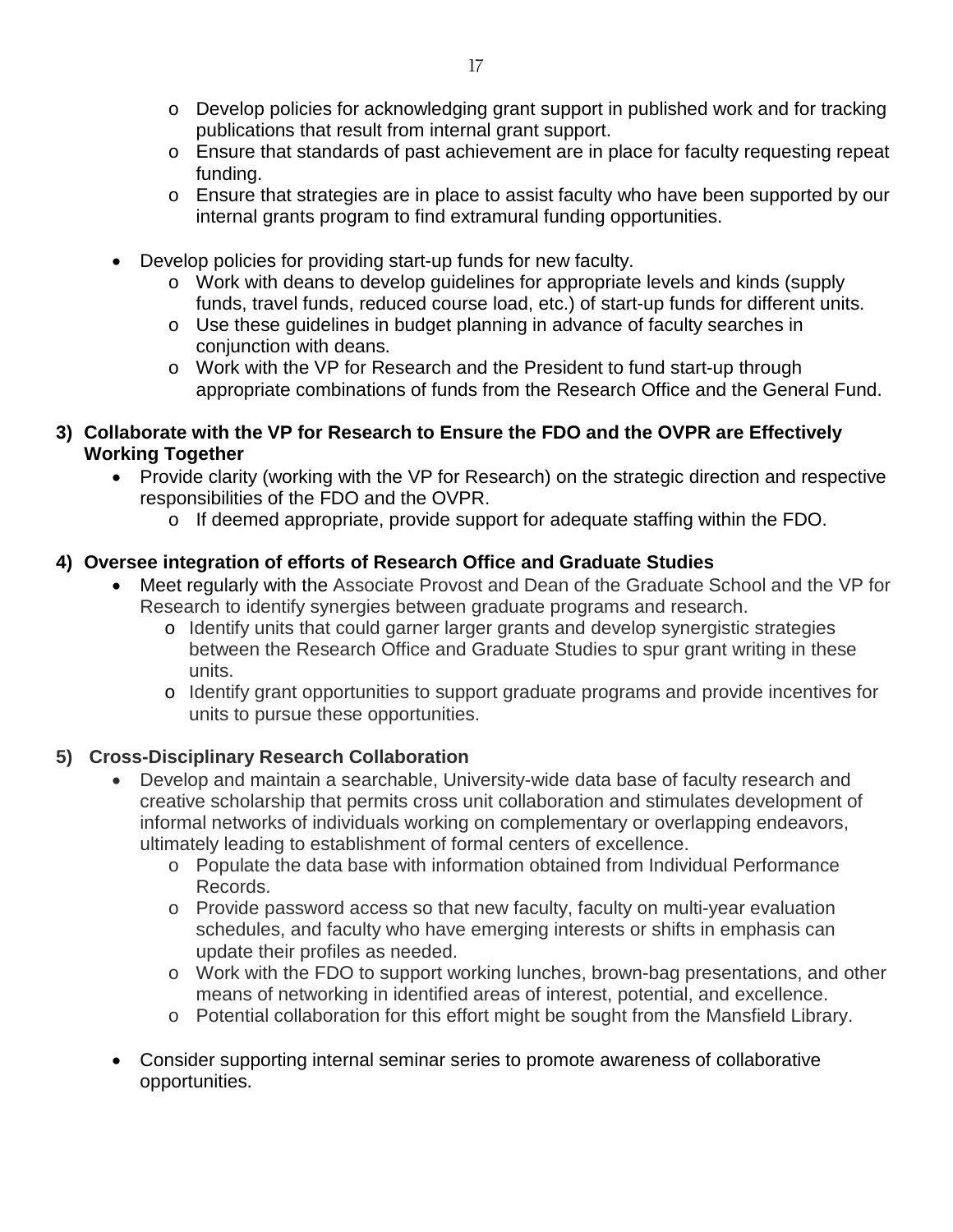- o Develop policies for acknowledging grant support in published work and for tracking publications that result from internal grant support.
- o Ensure that standards of past achievement are in place for faculty requesting repeat funding.
- o Ensure that strategies are in place to assist faculty who have been supported by our internal grants program to find extramural funding opportunities.
- Develop policies for providing start-up funds for new faculty.
	- o Work with deans to develop guidelines for appropriate levels and kinds (supply funds, travel funds, reduced course load, etc.) of start-up funds for different units.
	- o Use these guidelines in budget planning in advance of faculty searches in conjunction with deans.
	- o Work with the VP for Research and the President to fund start-up through appropriate combinations of funds from the Research Office and the General Fund.
- **3) Collaborate with the VP for Research to Ensure the FDO and the OVPR are Effectively Working Together**
	- Provide clarity (working with the VP for Research) on the strategic direction and respective responsibilities of the FDO and the OVPR.
		- o If deemed appropriate, provide support for adequate staffing within the FDO.

#### **4) Oversee integration of efforts of Research Office and Graduate Studies**

- Meet regularly with the Associate Provost and Dean of the Graduate School and the VP for Research to identify synergies between graduate programs and research.
	- o Identify units that could garner larger grants and develop synergistic strategies between the Research Office and Graduate Studies to spur grant writing in these units.
	- o Identify grant opportunities to support graduate programs and provide incentives for units to pursue these opportunities.

#### **5) Cross-Disciplinary Research Collaboration**

- Develop and maintain a searchable, University-wide data base of faculty research and creative scholarship that permits cross unit collaboration and stimulates development of informal networks of individuals working on complementary or overlapping endeavors, ultimately leading to establishment of formal centers of excellence.
	- o Populate the data base with information obtained from Individual Performance Records.
	- o Provide password access so that new faculty, faculty on multi-year evaluation schedules, and faculty who have emerging interests or shifts in emphasis can update their profiles as needed.
	- o Work with the FDO to support working lunches, brown-bag presentations, and other means of networking in identified areas of interest, potential, and excellence.
	- o Potential collaboration for this effort might be sought from the Mansfield Library.
- Consider supporting internal seminar series to promote awareness of collaborative opportunities.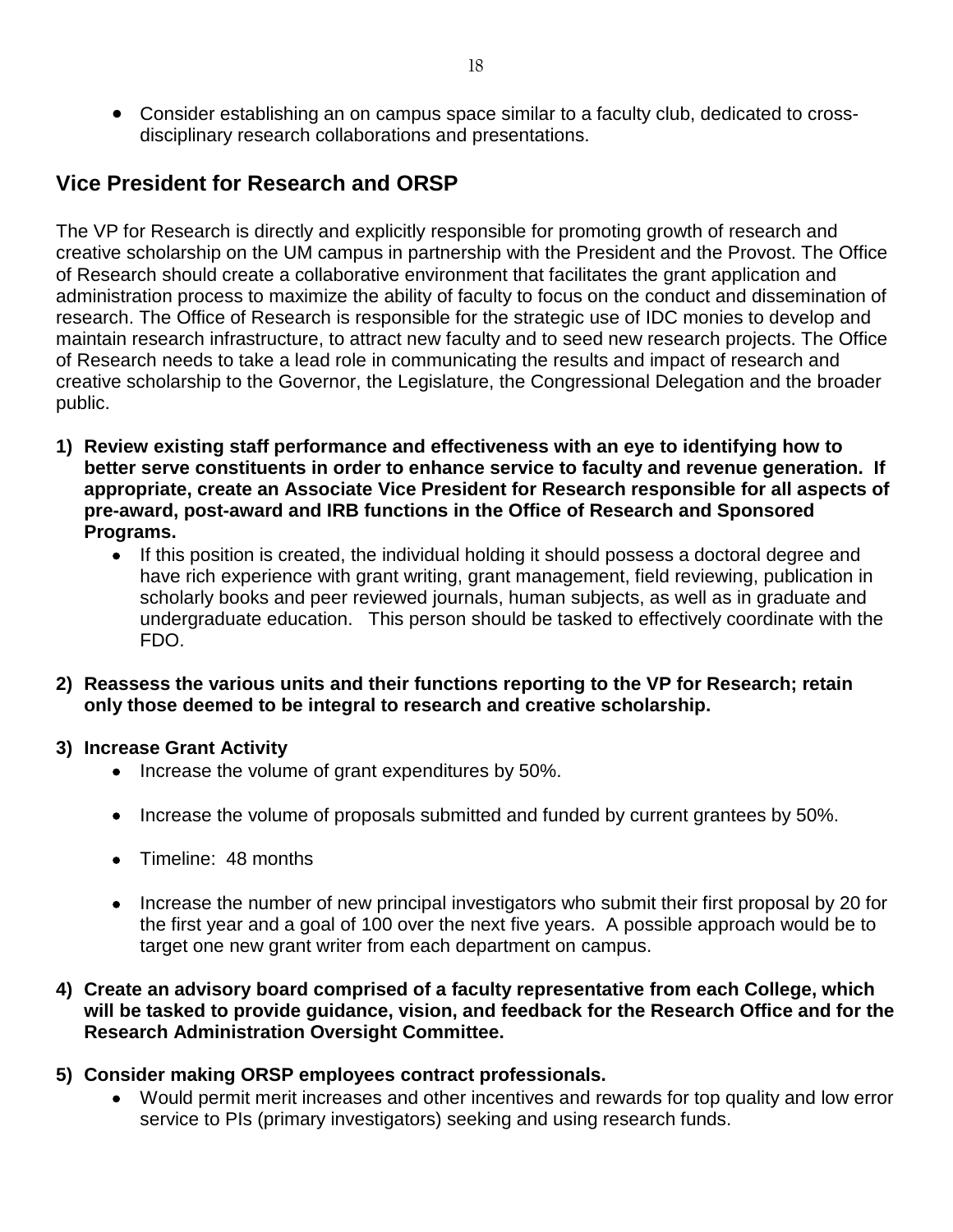• Consider establishing an on campus space similar to a faculty club, dedicated to crossdisciplinary research collaborations and presentations.

## **Vice President for Research and ORSP**

The VP for Research is directly and explicitly responsible for promoting growth of research and creative scholarship on the UM campus in partnership with the President and the Provost. The Office of Research should create a collaborative environment that facilitates the grant application and administration process to maximize the ability of faculty to focus on the conduct and dissemination of research. The Office of Research is responsible for the strategic use of IDC monies to develop and maintain research infrastructure, to attract new faculty and to seed new research projects. The Office of Research needs to take a lead role in communicating the results and impact of research and creative scholarship to the Governor, the Legislature, the Congressional Delegation and the broader public.

- **1) Review existing staff performance and effectiveness with an eye to identifying how to better serve constituents in order to enhance service to faculty and revenue generation. If appropriate, create an Associate Vice President for Research responsible for all aspects of pre-award, post-award and IRB functions in the Office of Research and Sponsored Programs.** 
	- If this position is created, the individual holding it should possess a doctoral degree and have rich experience with grant writing, grant management, field reviewing, publication in scholarly books and peer reviewed journals, human subjects, as well as in graduate and undergraduate education. This person should be tasked to effectively coordinate with the FDO.
- **2) Reassess the various units and their functions reporting to the VP for Research; retain only those deemed to be integral to research and creative scholarship.**

#### **3) Increase Grant Activity**

- Increase the volume of grant expenditures by 50%.
- Increase the volume of proposals submitted and funded by current grantees by 50%.
- Timeline: 48 months
- Increase the number of new principal investigators who submit their first proposal by 20 for the first year and a goal of 100 over the next five years. A possible approach would be to target one new grant writer from each department on campus.

#### **4) Create an advisory board comprised of a faculty representative from each College, which will be tasked to provide guidance, vision, and feedback for the Research Office and for the Research Administration Oversight Committee.**

#### **5) Consider making ORSP employees contract professionals.**

• Would permit merit increases and other incentives and rewards for top quality and low error service to PIs (primary investigators) seeking and using research funds.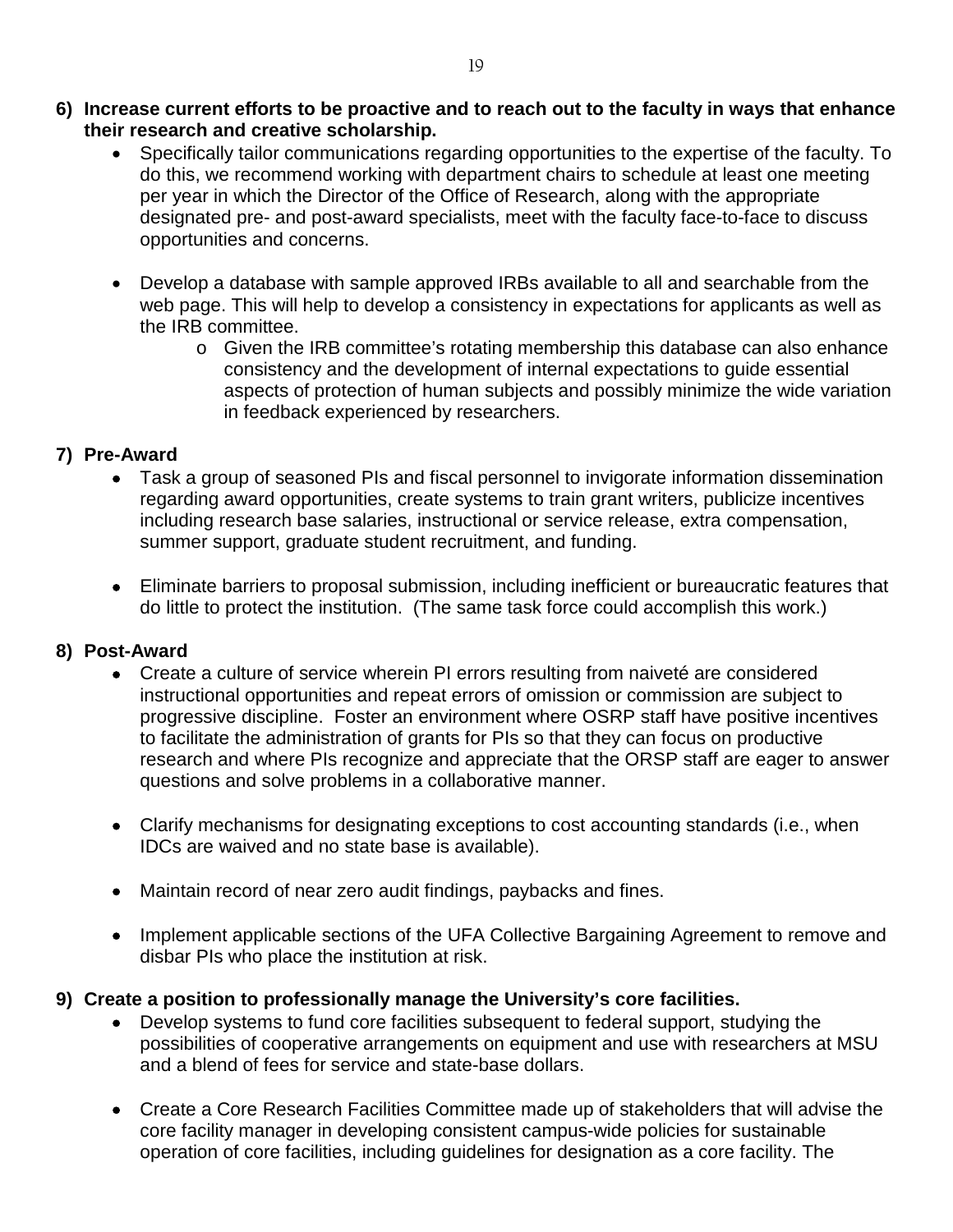- **6) Increase current efforts to be proactive and to reach out to the faculty in ways that enhance their research and creative scholarship.**
	- Specifically tailor communications regarding opportunities to the expertise of the faculty. To do this, we recommend working with department chairs to schedule at least one meeting per year in which the Director of the Office of Research, along with the appropriate designated pre- and post-award specialists, meet with the faculty face-to-face to discuss opportunities and concerns.
	- Develop a database with sample approved IRBs available to all and searchable from the web page. This will help to develop a consistency in expectations for applicants as well as the IRB committee.
		- o Given the IRB committee's rotating membership this database can also enhance consistency and the development of internal expectations to guide essential aspects of protection of human subjects and possibly minimize the wide variation in feedback experienced by researchers.

#### **7) Pre-Award**

- Task a group of seasoned PIs and fiscal personnel to invigorate information dissemination regarding award opportunities, create systems to train grant writers, publicize incentives including research base salaries, instructional or service release, extra compensation, summer support, graduate student recruitment, and funding.
- Eliminate barriers to proposal submission, including inefficient or bureaucratic features that do little to protect the institution. (The same task force could accomplish this work.)

#### **8) Post-Award**

- Create a culture of service wherein PI errors resulting from naiveté are considered instructional opportunities and repeat errors of omission or commission are subject to progressive discipline. Foster an environment where OSRP staff have positive incentives to facilitate the administration of grants for PIs so that they can focus on productive research and where PIs recognize and appreciate that the ORSP staff are eager to answer questions and solve problems in a collaborative manner.
- Clarify mechanisms for designating exceptions to cost accounting standards (i.e., when IDCs are waived and no state base is available).
- Maintain record of near zero audit findings, paybacks and fines.
- Implement applicable sections of the UFA Collective Bargaining Agreement to remove and disbar PIs who place the institution at risk.

#### **9) Create a position to professionally manage the University's core facilities.**

- Develop systems to fund core facilities subsequent to federal support, studying the possibilities of cooperative arrangements on equipment and use with researchers at MSU and a blend of fees for service and state-base dollars.
- Create a Core Research Facilities Committee made up of stakeholders that will advise the core facility manager in developing consistent campus-wide policies for sustainable operation of core facilities, including guidelines for designation as a core facility. The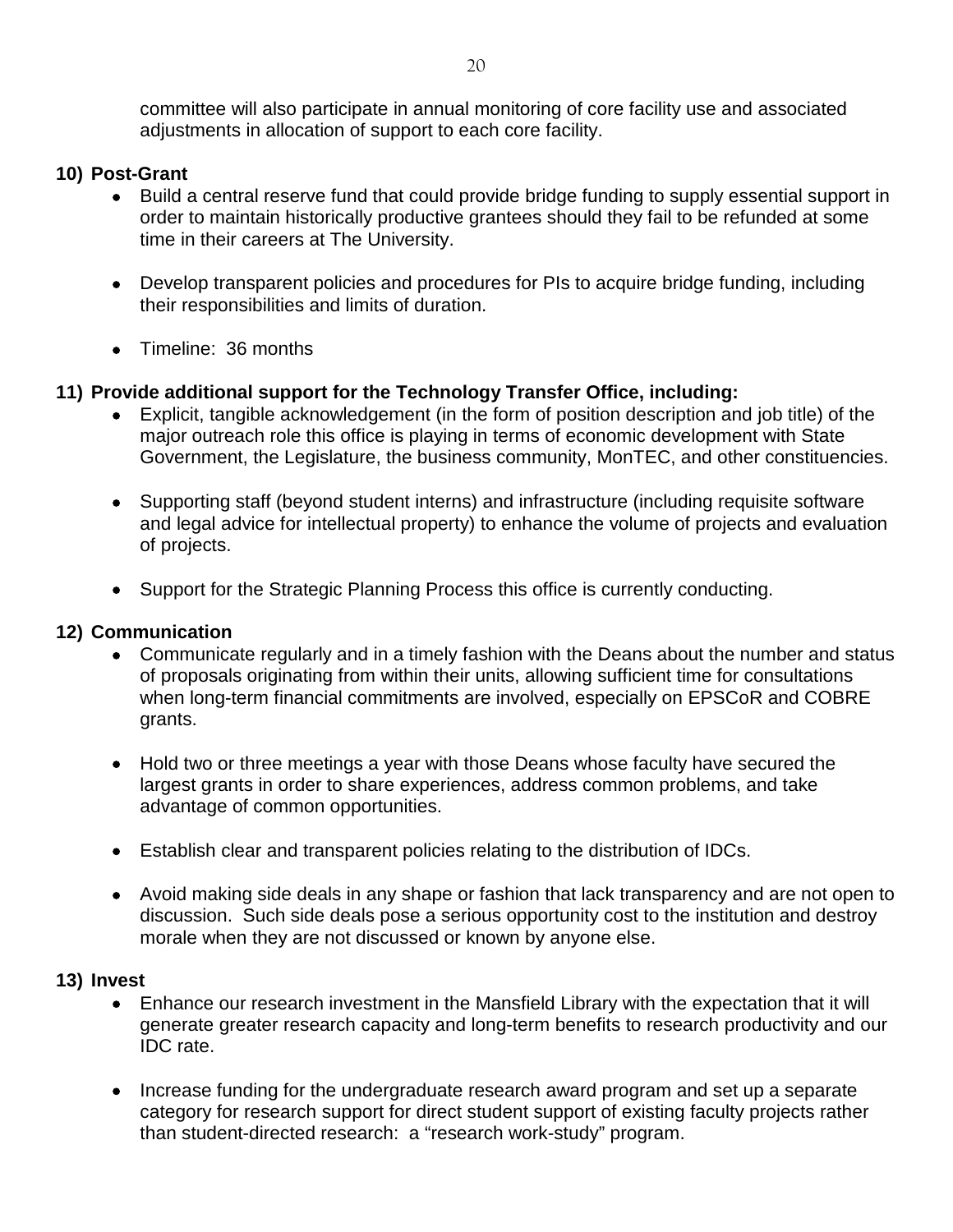committee will also participate in annual monitoring of core facility use and associated adjustments in allocation of support to each core facility.

#### **10) Post-Grant**

- Build a central reserve fund that could provide bridge funding to supply essential support in order to maintain historically productive grantees should they fail to be refunded at some time in their careers at The University.
- Develop transparent policies and procedures for PIs to acquire bridge funding, including their responsibilities and limits of duration.
- Timeline: 36 months

#### **11) Provide additional support for the Technology Transfer Office, including:**

- Explicit, tangible acknowledgement (in the form of position description and job title) of the major outreach role this office is playing in terms of economic development with State Government, the Legislature, the business community, MonTEC, and other constituencies.
- Supporting staff (beyond student interns) and infrastructure (including requisite software and legal advice for intellectual property) to enhance the volume of projects and evaluation of projects.
- Support for the Strategic Planning Process this office is currently conducting.

#### **12) Communication**

- Communicate regularly and in a timely fashion with the Deans about the number and status of proposals originating from within their units, allowing sufficient time for consultations when long-term financial commitments are involved, especially on EPSCoR and COBRE grants.
- Hold two or three meetings a year with those Deans whose faculty have secured the largest grants in order to share experiences, address common problems, and take advantage of common opportunities.
- Establish clear and transparent policies relating to the distribution of IDCs.
- Avoid making side deals in any shape or fashion that lack transparency and are not open to discussion. Such side deals pose a serious opportunity cost to the institution and destroy morale when they are not discussed or known by anyone else.

#### **13) Invest**

- Enhance our research investment in the Mansfield Library with the expectation that it will generate greater research capacity and long-term benefits to research productivity and our IDC rate.
- Increase funding for the undergraduate research award program and set up a separate category for research support for direct student support of existing faculty projects rather than student-directed research: a "research work-study" program.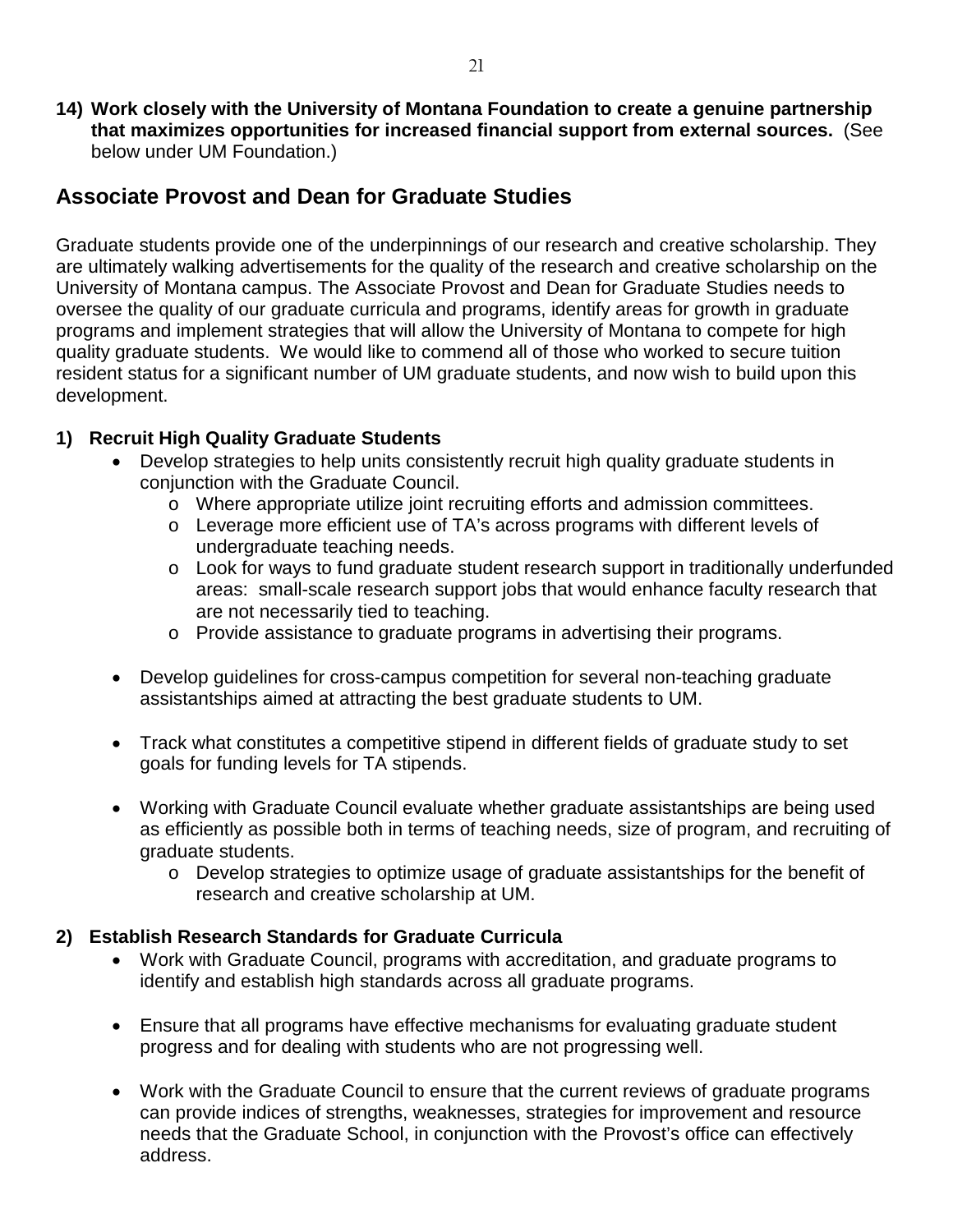**14) Work closely with the University of Montana Foundation to create a genuine partnership that maximizes opportunities for increased financial support from external sources.** (See below under UM Foundation.)

### **Associate Provost and Dean for Graduate Studies**

Graduate students provide one of the underpinnings of our research and creative scholarship. They are ultimately walking advertisements for the quality of the research and creative scholarship on the University of Montana campus. The Associate Provost and Dean for Graduate Studies needs to oversee the quality of our graduate curricula and programs, identify areas for growth in graduate programs and implement strategies that will allow the University of Montana to compete for high quality graduate students. We would like to commend all of those who worked to secure tuition resident status for a significant number of UM graduate students, and now wish to build upon this development.

#### **1) Recruit High Quality Graduate Students**

- Develop strategies to help units consistently recruit high quality graduate students in conjunction with the Graduate Council.
	- o Where appropriate utilize joint recruiting efforts and admission committees.
	- o Leverage more efficient use of TA's across programs with different levels of undergraduate teaching needs.
	- o Look for ways to fund graduate student research support in traditionally underfunded areas: small-scale research support jobs that would enhance faculty research that are not necessarily tied to teaching.
	- o Provide assistance to graduate programs in advertising their programs.
- Develop guidelines for cross-campus competition for several non-teaching graduate assistantships aimed at attracting the best graduate students to UM.
- Track what constitutes a competitive stipend in different fields of graduate study to set goals for funding levels for TA stipends.
- Working with Graduate Council evaluate whether graduate assistantships are being used as efficiently as possible both in terms of teaching needs, size of program, and recruiting of graduate students.
	- o Develop strategies to optimize usage of graduate assistantships for the benefit of research and creative scholarship at UM.

#### **2) Establish Research Standards for Graduate Curricula**

- Work with Graduate Council, programs with accreditation, and graduate programs to identify and establish high standards across all graduate programs.
- Ensure that all programs have effective mechanisms for evaluating graduate student progress and for dealing with students who are not progressing well.
- Work with the Graduate Council to ensure that the current reviews of graduate programs can provide indices of strengths, weaknesses, strategies for improvement and resource needs that the Graduate School, in conjunction with the Provost's office can effectively address.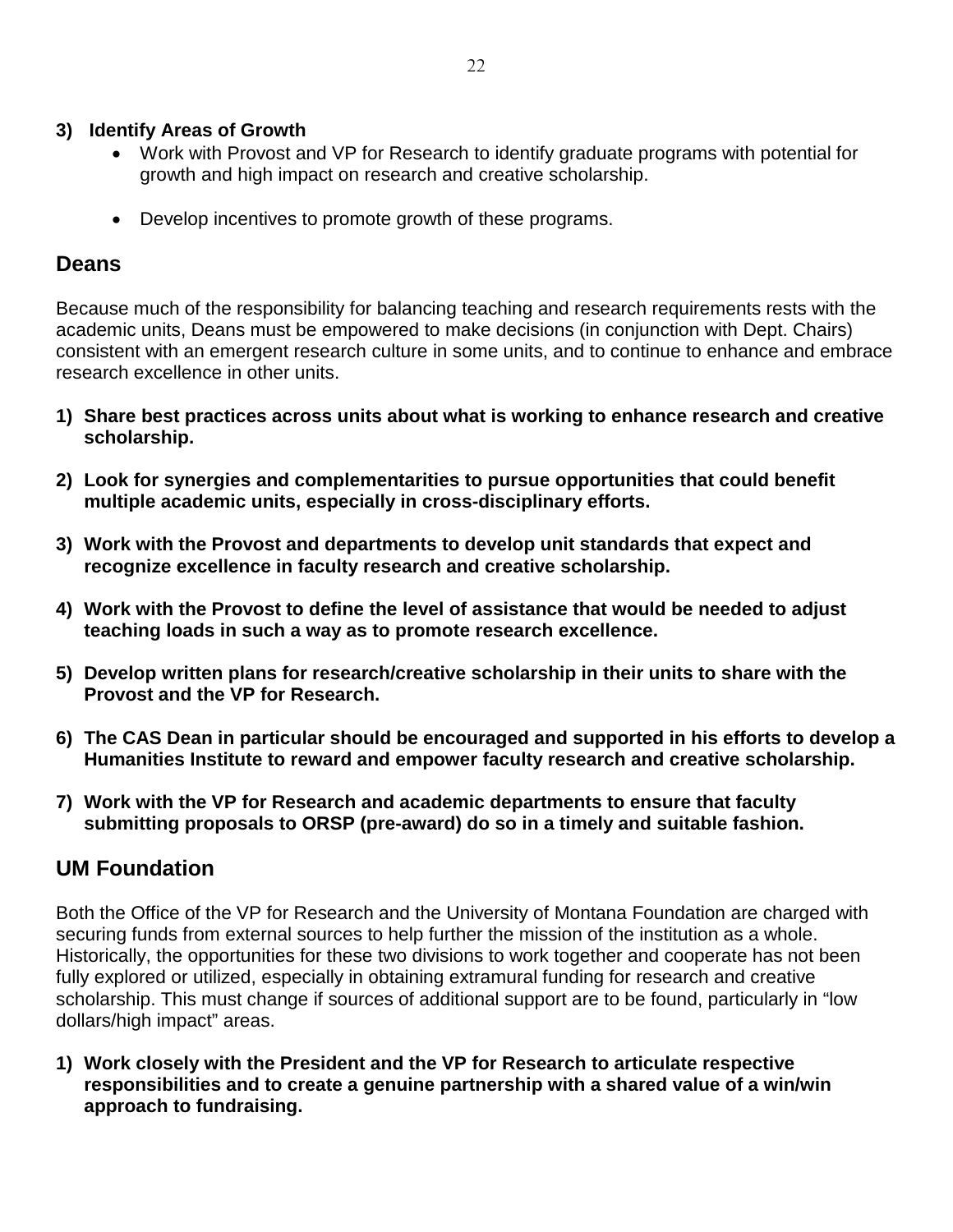#### **3) Identify Areas of Growth**

- Work with Provost and VP for Research to identify graduate programs with potential for growth and high impact on research and creative scholarship.
- Develop incentives to promote growth of these programs.

## **Deans**

Because much of the responsibility for balancing teaching and research requirements rests with the academic units, Deans must be empowered to make decisions (in conjunction with Dept. Chairs) consistent with an emergent research culture in some units, and to continue to enhance and embrace research excellence in other units.

- **1) Share best practices across units about what is working to enhance research and creative scholarship.**
- **2) Look for synergies and complementarities to pursue opportunities that could benefit multiple academic units, especially in cross-disciplinary efforts.**
- **3) Work with the Provost and departments to develop unit standards that expect and recognize excellence in faculty research and creative scholarship.**
- **4) Work with the Provost to define the level of assistance that would be needed to adjust teaching loads in such a way as to promote research excellence.**
- **5) Develop written plans for research/creative scholarship in their units to share with the Provost and the VP for Research.**
- **6) The CAS Dean in particular should be encouraged and supported in his efforts to develop a Humanities Institute to reward and empower faculty research and creative scholarship.**
- **7) Work with the VP for Research and academic departments to ensure that faculty submitting proposals to ORSP (pre-award) do so in a timely and suitable fashion.**

## **UM Foundation**

Both the Office of the VP for Research and the University of Montana Foundation are charged with securing funds from external sources to help further the mission of the institution as a whole. Historically, the opportunities for these two divisions to work together and cooperate has not been fully explored or utilized, especially in obtaining extramural funding for research and creative scholarship. This must change if sources of additional support are to be found, particularly in "low dollars/high impact" areas.

**1) Work closely with the President and the VP for Research to articulate respective responsibilities and to create a genuine partnership with a shared value of a win/win approach to fundraising.**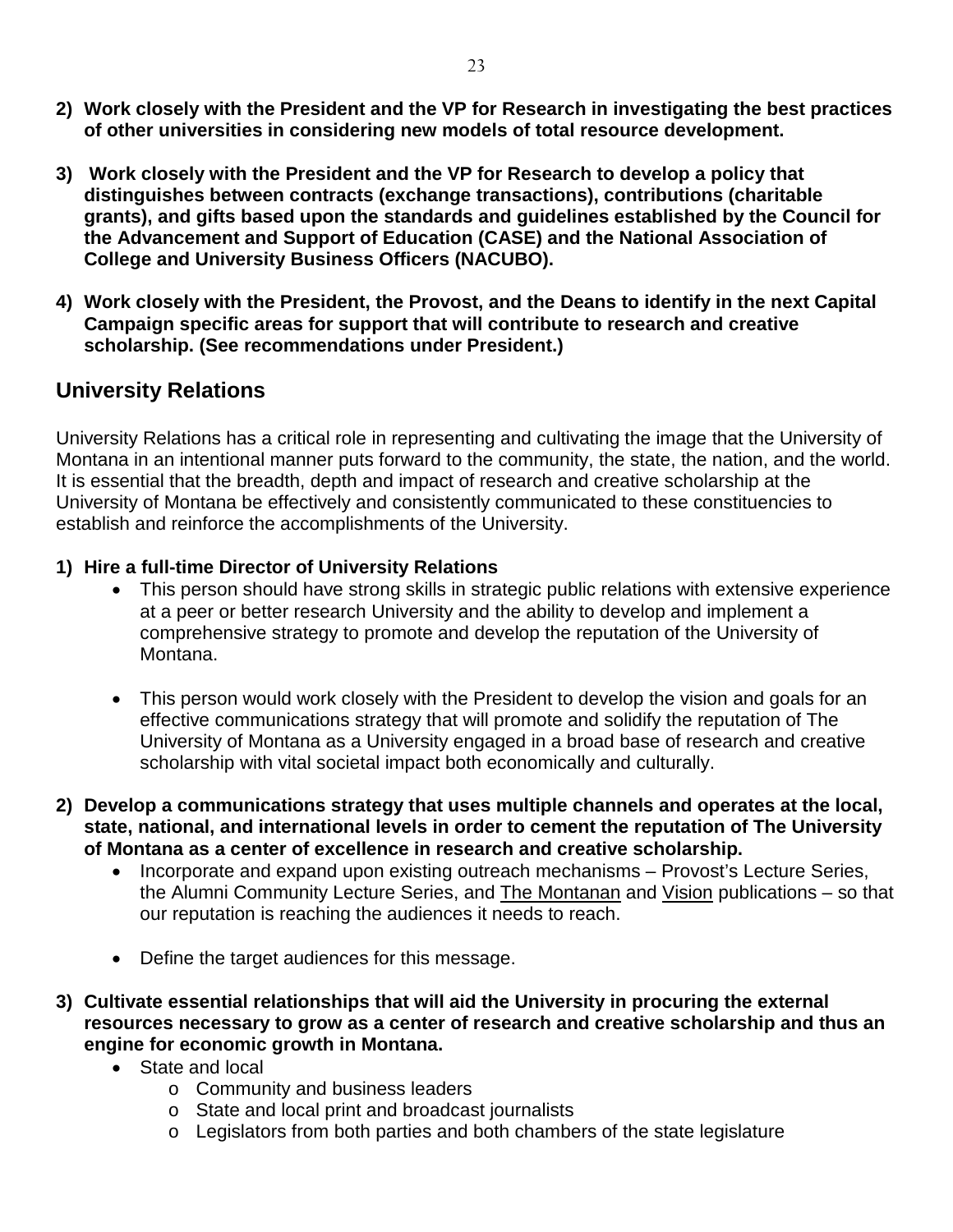- **2) Work closely with the President and the VP for Research in investigating the best practices of other universities in considering new models of total resource development.**
- **3) Work closely with the President and the VP for Research to develop a policy that distinguishes between contracts (exchange transactions), contributions (charitable grants), and gifts based upon the standards and guidelines established by the Council for the Advancement and Support of Education (CASE) and the National Association of College and University Business Officers (NACUBO).**
- **4) Work closely with the President, the Provost, and the Deans to identify in the next Capital Campaign specific areas for support that will contribute to research and creative scholarship. (See recommendations under President.)**

## **University Relations**

University Relations has a critical role in representing and cultivating the image that the University of Montana in an intentional manner puts forward to the community, the state, the nation, and the world. It is essential that the breadth, depth and impact of research and creative scholarship at the University of Montana be effectively and consistently communicated to these constituencies to establish and reinforce the accomplishments of the University.

#### **1) Hire a full-time Director of University Relations**

- This person should have strong skills in strategic public relations with extensive experience at a peer or better research University and the ability to develop and implement a comprehensive strategy to promote and develop the reputation of the University of Montana.
- This person would work closely with the President to develop the vision and goals for an effective communications strategy that will promote and solidify the reputation of The University of Montana as a University engaged in a broad base of research and creative scholarship with vital societal impact both economically and culturally.
- **2) Develop a communications strategy that uses multiple channels and operates at the local, state, national, and international levels in order to cement the reputation of The University of Montana as a center of excellence in research and creative scholarship.**
	- Incorporate and expand upon existing outreach mechanisms Provost's Lecture Series, the Alumni Community Lecture Series, and The Montanan and Vision publications – so that our reputation is reaching the audiences it needs to reach.
	- Define the target audiences for this message.
- **3) Cultivate essential relationships that will aid the University in procuring the external resources necessary to grow as a center of research and creative scholarship and thus an engine for economic growth in Montana.**
	- State and local
		- o Community and business leaders
		- o State and local print and broadcast journalists
		- o Legislators from both parties and both chambers of the state legislature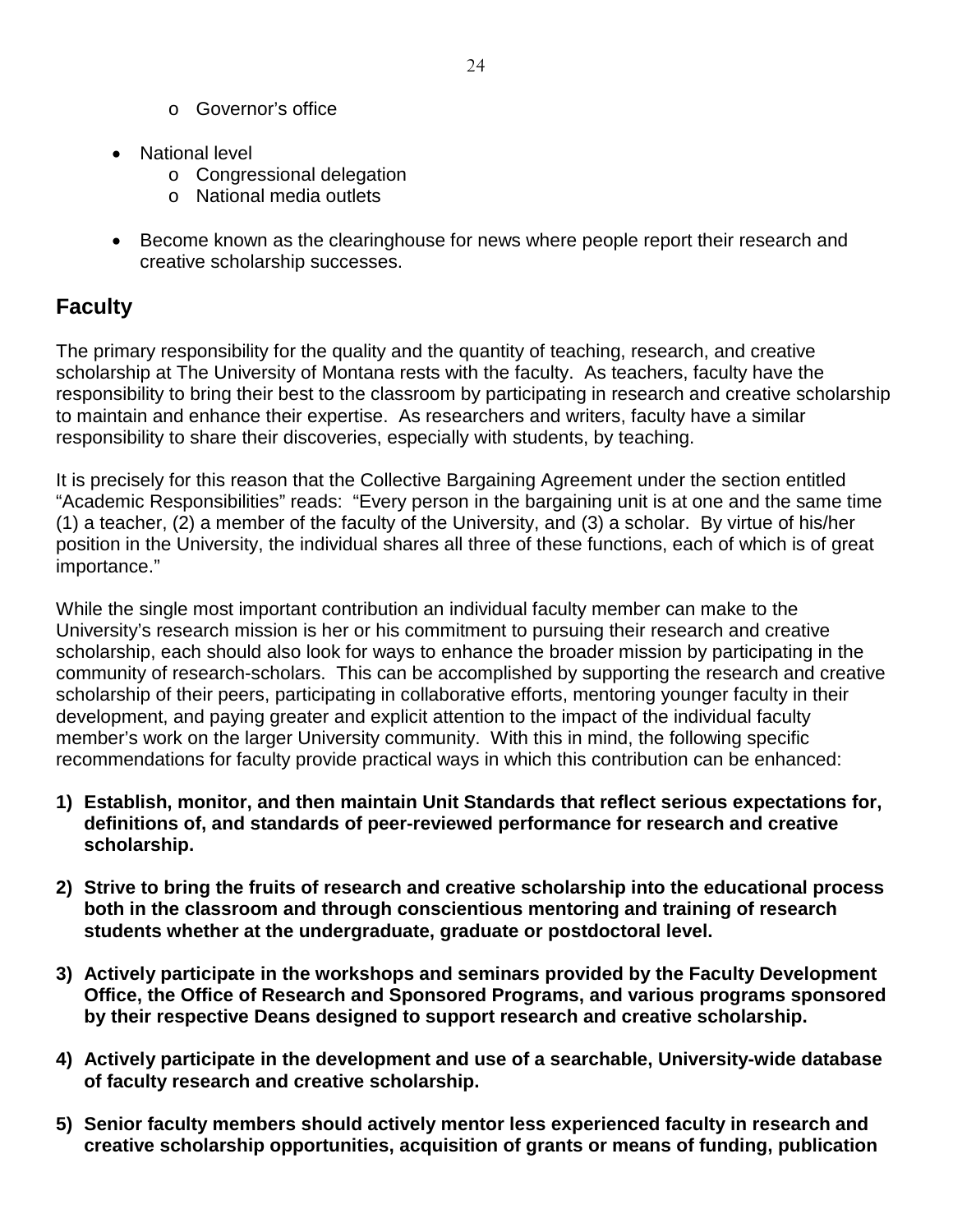- o Governor's office
- National level
	- o Congressional delegation
	- o National media outlets
- Become known as the clearinghouse for news where people report their research and creative scholarship successes.

## **Faculty**

The primary responsibility for the quality and the quantity of teaching, research, and creative scholarship at The University of Montana rests with the faculty. As teachers, faculty have the responsibility to bring their best to the classroom by participating in research and creative scholarship to maintain and enhance their expertise. As researchers and writers, faculty have a similar responsibility to share their discoveries, especially with students, by teaching.

It is precisely for this reason that the Collective Bargaining Agreement under the section entitled "Academic Responsibilities" reads: "Every person in the bargaining unit is at one and the same time (1) a teacher, (2) a member of the faculty of the University, and (3) a scholar. By virtue of his/her position in the University, the individual shares all three of these functions, each of which is of great importance."

While the single most important contribution an individual faculty member can make to the University's research mission is her or his commitment to pursuing their research and creative scholarship, each should also look for ways to enhance the broader mission by participating in the community of research-scholars. This can be accomplished by supporting the research and creative scholarship of their peers, participating in collaborative efforts, mentoring younger faculty in their development, and paying greater and explicit attention to the impact of the individual faculty member's work on the larger University community. With this in mind, the following specific recommendations for faculty provide practical ways in which this contribution can be enhanced:

- **1) Establish, monitor, and then maintain Unit Standards that reflect serious expectations for, definitions of, and standards of peer-reviewed performance for research and creative scholarship.**
- **2) Strive to bring the fruits of research and creative scholarship into the educational process both in the classroom and through conscientious mentoring and training of research students whether at the undergraduate, graduate or postdoctoral level.**
- **3) Actively participate in the workshops and seminars provided by the Faculty Development Office, the Office of Research and Sponsored Programs, and various programs sponsored by their respective Deans designed to support research and creative scholarship.**
- **4) Actively participate in the development and use of a searchable, University-wide database of faculty research and creative scholarship.**
- **5) Senior faculty members should actively mentor less experienced faculty in research and creative scholarship opportunities, acquisition of grants or means of funding, publication**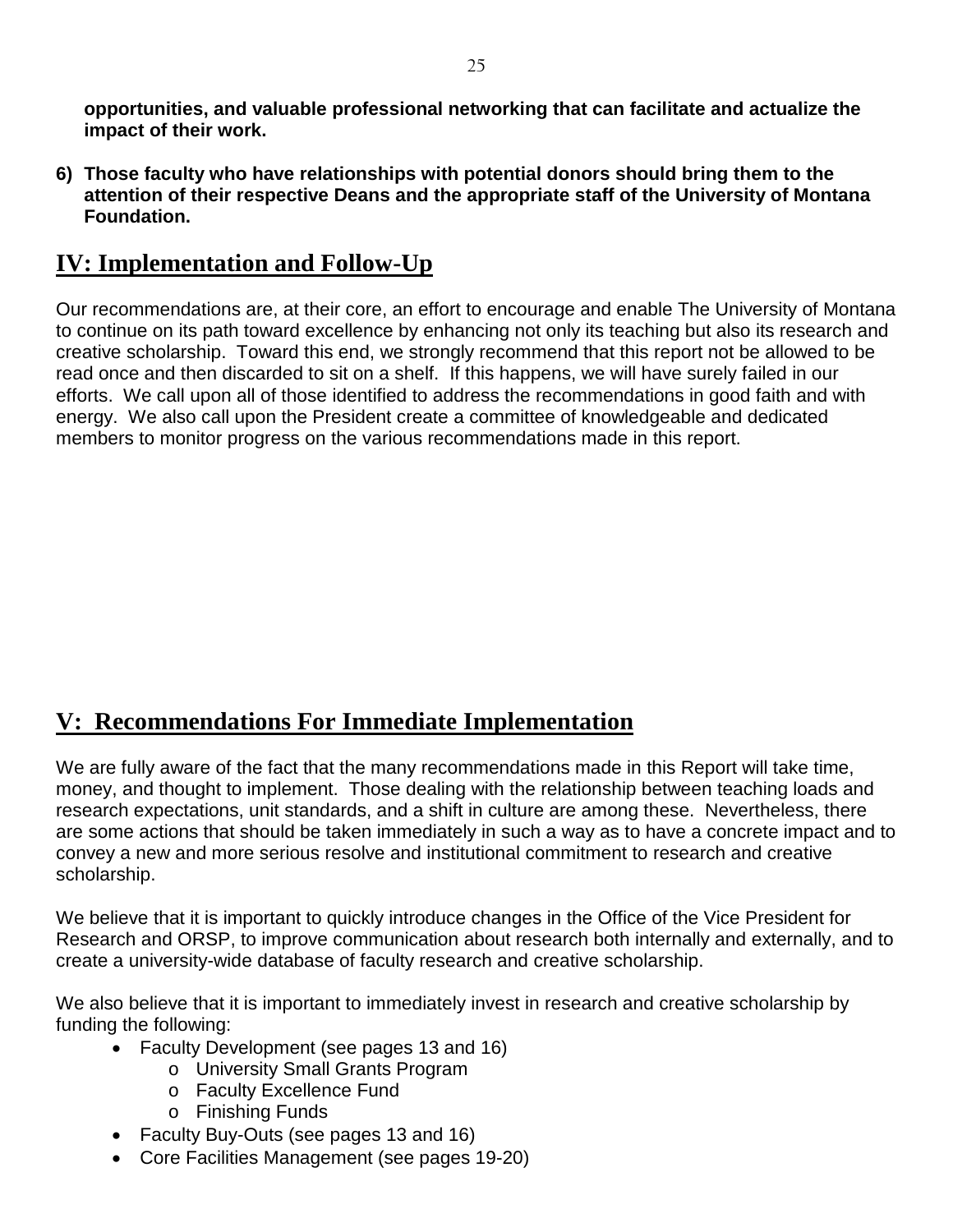**opportunities, and valuable professional networking that can facilitate and actualize the impact of their work.**

**6) Those faculty who have relationships with potential donors should bring them to the attention of their respective Deans and the appropriate staff of the University of Montana Foundation.**

## **IV: Implementation and Follow-Up**

Our recommendations are, at their core, an effort to encourage and enable The University of Montana to continue on its path toward excellence by enhancing not only its teaching but also its research and creative scholarship. Toward this end, we strongly recommend that this report not be allowed to be read once and then discarded to sit on a shelf. If this happens, we will have surely failed in our efforts. We call upon all of those identified to address the recommendations in good faith and with energy. We also call upon the President create a committee of knowledgeable and dedicated members to monitor progress on the various recommendations made in this report.

## **V: Recommendations For Immediate Implementation**

We are fully aware of the fact that the many recommendations made in this Report will take time, money, and thought to implement. Those dealing with the relationship between teaching loads and research expectations, unit standards, and a shift in culture are among these. Nevertheless, there are some actions that should be taken immediately in such a way as to have a concrete impact and to convey a new and more serious resolve and institutional commitment to research and creative scholarship.

We believe that it is important to quickly introduce changes in the Office of the Vice President for Research and ORSP, to improve communication about research both internally and externally, and to create a university-wide database of faculty research and creative scholarship.

We also believe that it is important to immediately invest in research and creative scholarship by funding the following:

- Faculty Development (see pages 13 and 16)
	- o University Small Grants Program
	- o Faculty Excellence Fund
	- o Finishing Funds
- Faculty Buy-Outs (see pages 13 and 16)
- Core Facilities Management (see pages 19-20)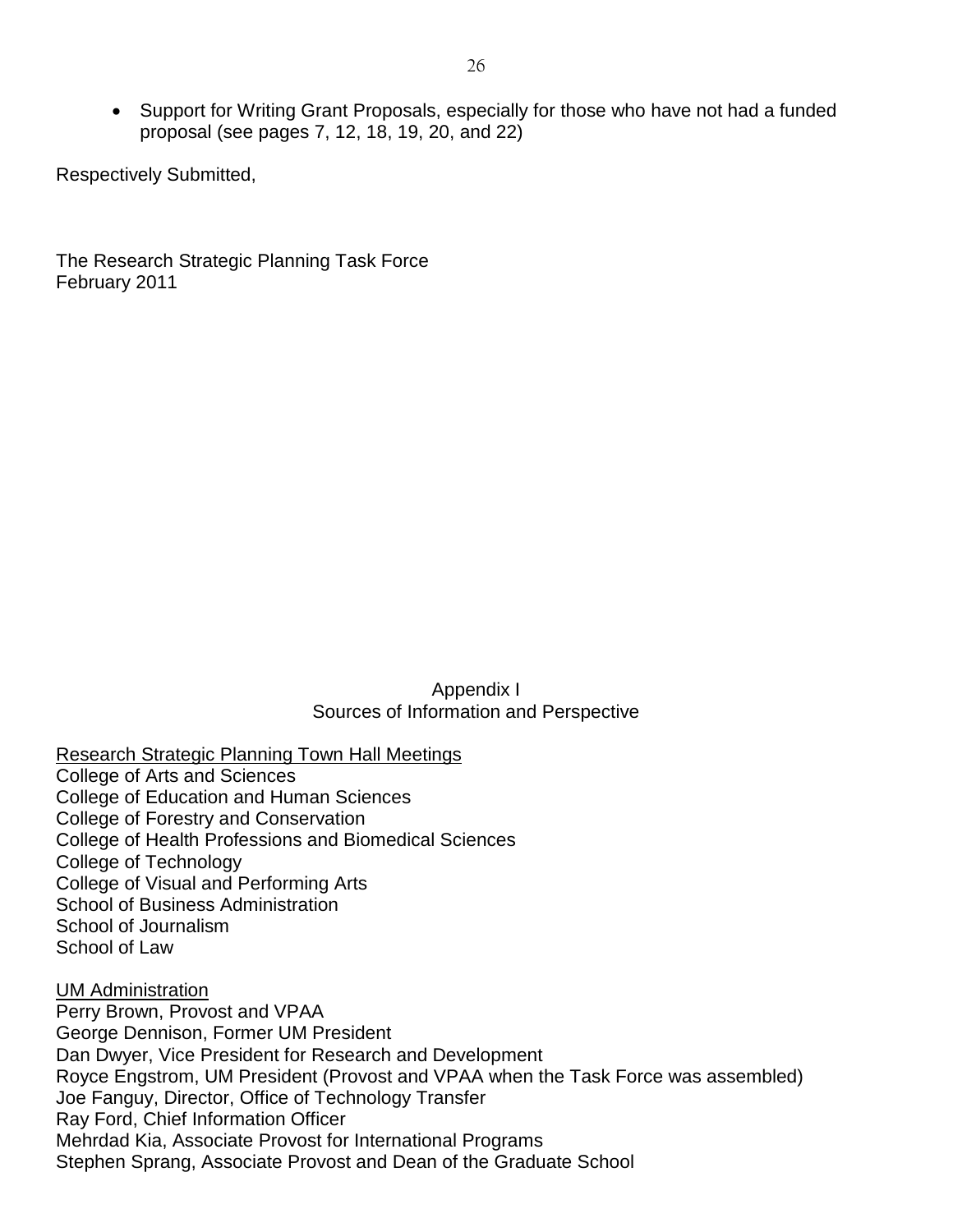• Support for Writing Grant Proposals, especially for those who have not had a funded proposal (see pages 7, 12, 18, 19, 20, and 22)

Respectively Submitted,

The Research Strategic Planning Task Force February 2011

> Appendix I Sources of Information and Perspective

Research Strategic Planning Town Hall Meetings

College of Arts and Sciences College of Education and Human Sciences College of Forestry and Conservation College of Health Professions and Biomedical Sciences College of Technology College of Visual and Performing Arts School of Business Administration School of Journalism School of Law

UM Administration Perry Brown, Provost and VPAA George Dennison, Former UM President Dan Dwyer, Vice President for Research and Development Royce Engstrom, UM President (Provost and VPAA when the Task Force was assembled) Joe Fanguy, Director, Office of Technology Transfer Ray Ford, Chief Information Officer Mehrdad Kia, Associate Provost for International Programs Stephen Sprang, Associate Provost and Dean of the Graduate School